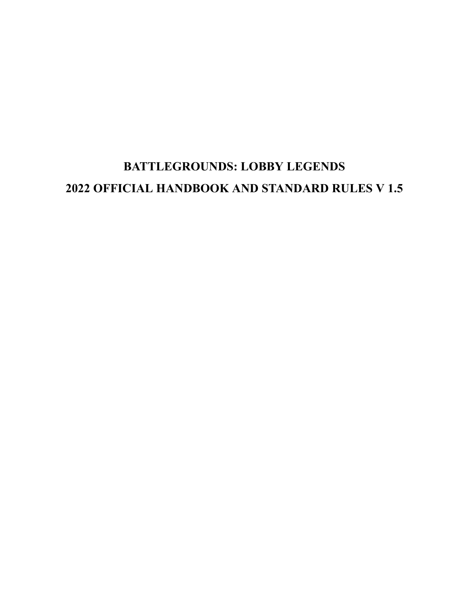# **BATTLEGROUNDS: LOBBY LEGENDS 2022 OFFICIAL HANDBOOK AND STANDARD RULES V 1.5**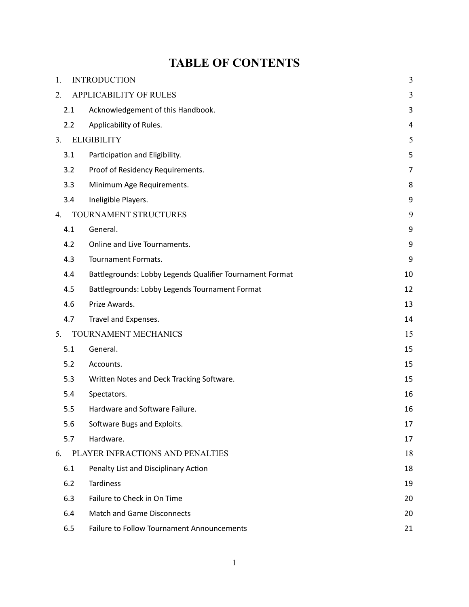# **TABLE OF CONTENTS**

| 1.  | <b>INTRODUCTION</b>                                      | $\mathfrak{Z}$ |  |  |
|-----|----------------------------------------------------------|----------------|--|--|
| 2.  | <b>APPLICABILITY OF RULES</b>                            | 3              |  |  |
| 2.1 | Acknowledgement of this Handbook.                        | 3              |  |  |
| 2.2 | Applicability of Rules.                                  | 4              |  |  |
| 3.  | <b>ELIGIBILITY</b>                                       |                |  |  |
| 3.1 | Participation and Eligibility.                           | 5              |  |  |
| 3.2 | Proof of Residency Requirements.                         | 7              |  |  |
| 3.3 | Minimum Age Requirements.                                | 8              |  |  |
| 3.4 | Ineligible Players.                                      | 9              |  |  |
| 4.  | TOURNAMENT STRUCTURES                                    | 9              |  |  |
| 4.1 | General.                                                 | 9              |  |  |
| 4.2 | Online and Live Tournaments.                             | 9              |  |  |
| 4.3 | Tournament Formats.                                      | 9              |  |  |
| 4.4 | Battlegrounds: Lobby Legends Qualifier Tournament Format | 10             |  |  |
| 4.5 | Battlegrounds: Lobby Legends Tournament Format           | 12             |  |  |
| 4.6 | Prize Awards.                                            | 13             |  |  |
| 4.7 | Travel and Expenses.                                     | 14             |  |  |
| 5.  | TOURNAMENT MECHANICS                                     | 15             |  |  |
| 5.1 | General.                                                 | 15             |  |  |
| 5.2 | Accounts.                                                | 15             |  |  |
| 5.3 | Written Notes and Deck Tracking Software.                | 15             |  |  |
| 5.4 | Spectators.                                              | 16             |  |  |
| 5.5 | Hardware and Software Failure.                           | 16             |  |  |
| 5.6 | Software Bugs and Exploits.                              | 17             |  |  |
| 5.7 | Hardware.                                                | 17             |  |  |
| 6.  | PLAYER INFRACTIONS AND PENALTIES                         | 18             |  |  |
| 6.1 | Penalty List and Disciplinary Action                     | 18             |  |  |
| 6.2 | <b>Tardiness</b>                                         | 19             |  |  |
| 6.3 | Failure to Check in On Time                              | 20             |  |  |
| 6.4 | <b>Match and Game Disconnects</b>                        | 20             |  |  |
| 6.5 | Failure to Follow Tournament Announcements               | 21             |  |  |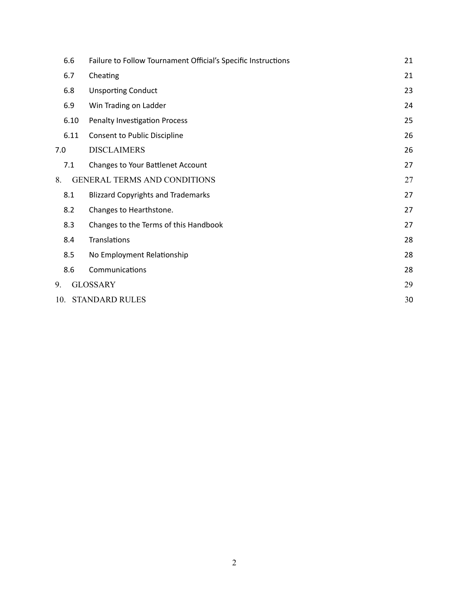| 6.6                                |                                       | Failure to Follow Tournament Official's Specific Instructions |    |  |
|------------------------------------|---------------------------------------|---------------------------------------------------------------|----|--|
| 6.7                                |                                       | Cheating                                                      | 21 |  |
| 6.8                                |                                       | <b>Unsporting Conduct</b>                                     | 23 |  |
|                                    | 6.9<br>Win Trading on Ladder          |                                                               |    |  |
|                                    | 6.10<br>Penalty Investigation Process |                                                               |    |  |
|                                    | 6.11                                  | Consent to Public Discipline                                  | 26 |  |
| 7.0                                |                                       | <b>DISCLAIMERS</b>                                            | 26 |  |
| 7.1                                |                                       | Changes to Your Battlenet Account                             | 27 |  |
| 8.                                 |                                       | <b>GENERAL TERMS AND CONDITIONS</b>                           | 27 |  |
| 8.1                                |                                       | <b>Blizzard Copyrights and Trademarks</b>                     | 27 |  |
| 8.2                                |                                       | Changes to Hearthstone.                                       | 27 |  |
| 8.3                                |                                       | Changes to the Terms of this Handbook                         | 27 |  |
| 8.4                                |                                       | Translations                                                  | 28 |  |
| 8.5                                |                                       | No Employment Relationship                                    | 28 |  |
| 8.6                                |                                       | Communications                                                | 28 |  |
| 9.                                 | <b>GLOSSARY</b><br>29                 |                                                               |    |  |
| 10.<br><b>STANDARD RULES</b><br>30 |                                       |                                                               |    |  |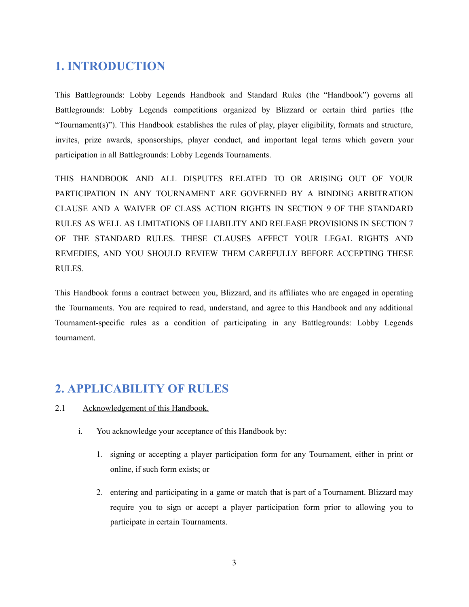# **1. INTRODUCTION**

This Battlegrounds: Lobby Legends Handbook and Standard Rules (the "Handbook") governs all Battlegrounds: Lobby Legends competitions organized by Blizzard or certain third parties (the "Tournament(s)"). This Handbook establishes the rules of play, player eligibility, formats and structure, invites, prize awards, sponsorships, player conduct, and important legal terms which govern your participation in all Battlegrounds: Lobby Legends Tournaments.

THIS HANDBOOK AND ALL DISPUTES RELATED TO OR ARISING OUT OF YOUR PARTICIPATION IN ANY TOURNAMENT ARE GOVERNED BY A BINDING ARBITRATION CLAUSE AND A WAIVER OF CLASS ACTION RIGHTS IN SECTION 9 OF THE STANDARD RULES AS WELL AS LIMITATIONS OF LIABILITY AND RELEASE PROVISIONS IN SECTION 7 OF THE STANDARD RULES. THESE CLAUSES AFFECT YOUR LEGAL RIGHTS AND REMEDIES, AND YOU SHOULD REVIEW THEM CAREFULLY BEFORE ACCEPTING THESE RULES.

This Handbook forms a contract between you, Blizzard, and its affiliates who are engaged in operating the Tournaments. You are required to read, understand, and agree to this Handbook and any additional Tournament-specific rules as a condition of participating in any Battlegrounds: Lobby Legends tournament.

# **2. APPLICABILITY OF RULES**

- <span id="page-3-0"></span>2.1 Acknowledgement of this Handbook.
	- i. You acknowledge your acceptance of this Handbook by:
		- 1. signing or accepting a player participation form for any Tournament, either in print or online, if such form exists; or
		- 2. entering and participating in a game or match that is part of a Tournament. Blizzard may require you to sign or accept a player participation form prior to allowing you to participate in certain Tournaments.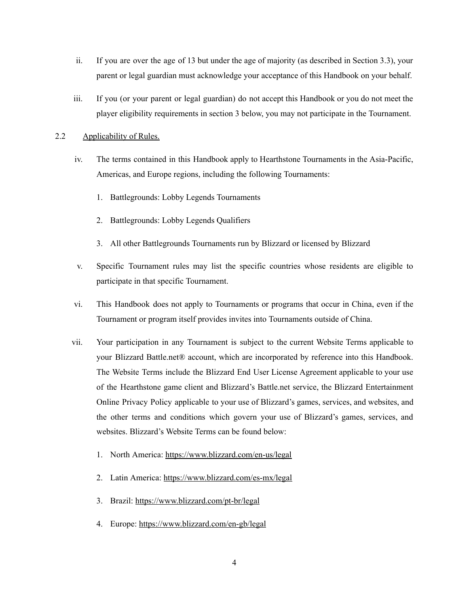- ii. If you are over the age of 13 but under the age of majority (as described in Section 3.3), your parent or legal guardian must acknowledge your acceptance of this Handbook on your behalf.
- iii. If you (or your parent or legal guardian) do not accept this Handbook or you do not meet the player eligibility requirements in section 3 below, you may not participate in the Tournament.
- <span id="page-4-0"></span>2.2 Applicability of Rules.
	- iv. The terms contained in this Handbook apply to Hearthstone Tournaments in the Asia-Pacific, Americas, and Europe regions, including the following Tournaments:
		- 1. Battlegrounds: Lobby Legends Tournaments
		- 2. Battlegrounds: Lobby Legends Qualifiers
		- 3. All other Battlegrounds Tournaments run by Blizzard or licensed by Blizzard
	- v. Specific Tournament rules may list the specific countries whose residents are eligible to participate in that specific Tournament.
	- vi. This Handbook does not apply to Tournaments or programs that occur in China, even if the Tournament or program itself provides invites into Tournaments outside of China.
	- vii. Your participation in any Tournament is subject to the current Website Terms applicable to your Blizzard Battle.net® account, which are incorporated by reference into this Handbook. The Website Terms include the Blizzard End User License Agreement applicable to your use of the Hearthstone game client and Blizzard's Battle.net service, the Blizzard Entertainment Online Privacy Policy applicable to your use of Blizzard's games, services, and websites, and the other terms and conditions which govern your use of Blizzard's games, services, and websites. Blizzard's Website Terms can be found below:
		- 1. North America: <https://www.blizzard.com/en-us/legal>
		- 2. Latin America: <https://www.blizzard.com/es-mx/legal>
		- 3. Brazil: <https://www.blizzard.com/pt-br/legal>
		- 4. Europe: <https://www.blizzard.com/en-gb/legal>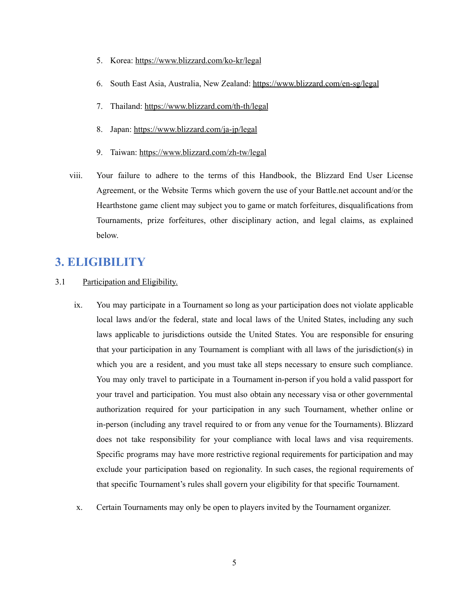- 5. Korea: <https://www.blizzard.com/ko-kr/legal>
- 6. South East Asia, Australia, New Zealand: <https://www.blizzard.com/en-sg/legal>
- 7. Thailand: <https://www.blizzard.com/th-th/legal>
- 8. Japan: <https://www.blizzard.com/ja-jp/legal>
- 9. Taiwan: <https://www.blizzard.com/zh-tw/legal>
- viii. Your failure to adhere to the terms of this Handbook, the Blizzard End User License Agreement, or the Website Terms which govern the use of your Battle.net account and/or the Hearthstone game client may subject you to game or match forfeitures, disqualifications from Tournaments, prize forfeitures, other disciplinary action, and legal claims, as explained below.

## **3. ELIGIBILITY**

- <span id="page-5-0"></span>3.1 Participation and Eligibility.
	- ix. You may participate in a Tournament so long as your participation does not violate applicable local laws and/or the federal, state and local laws of the United States, including any such laws applicable to jurisdictions outside the United States. You are responsible for ensuring that your participation in any Tournament is compliant with all laws of the jurisdiction(s) in which you are a resident, and you must take all steps necessary to ensure such compliance. You may only travel to participate in a Tournament in-person if you hold a valid passport for your travel and participation. You must also obtain any necessary visa or other governmental authorization required for your participation in any such Tournament, whether online or in-person (including any travel required to or from any venue for the Tournaments). Blizzard does not take responsibility for your compliance with local laws and visa requirements. Specific programs may have more restrictive regional requirements for participation and may exclude your participation based on regionality. In such cases, the regional requirements of that specific Tournament's rules shall govern your eligibility for that specific Tournament.
	- x. Certain Tournaments may only be open to players invited by the Tournament organizer.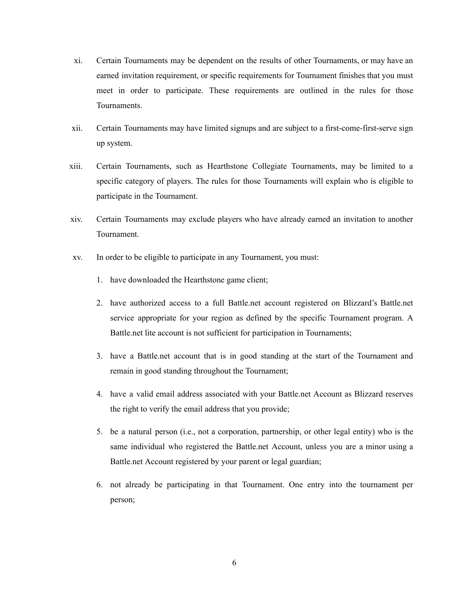- xi. Certain Tournaments may be dependent on the results of other Tournaments, or may have an earned invitation requirement, or specific requirements for Tournament finishes that you must meet in order to participate. These requirements are outlined in the rules for those Tournaments.
- xii. Certain Tournaments may have limited signups and are subject to a first-come-first-serve sign up system.
- xiii. Certain Tournaments, such as Hearthstone Collegiate Tournaments, may be limited to a specific category of players. The rules for those Tournaments will explain who is eligible to participate in the Tournament.
- xiv. Certain Tournaments may exclude players who have already earned an invitation to another Tournament.
- xv. In order to be eligible to participate in any Tournament, you must:
	- 1. have downloaded the Hearthstone game client;
	- 2. have authorized access to a full Battle.net account registered on Blizzard's Battle.net service appropriate for your region as defined by the specific Tournament program. A Battle.net lite account is not sufficient for participation in Tournaments;
	- 3. have a Battle.net account that is in good standing at the start of the Tournament and remain in good standing throughout the Tournament;
	- 4. have a valid email address associated with your Battle.net Account as Blizzard reserves the right to verify the email address that you provide;
	- 5. be a natural person (i.e., not a corporation, partnership, or other legal entity) who is the same individual who registered the Battle.net Account, unless you are a minor using a Battle.net Account registered by your parent or legal guardian;
	- 6. not already be participating in that Tournament. One entry into the tournament per person;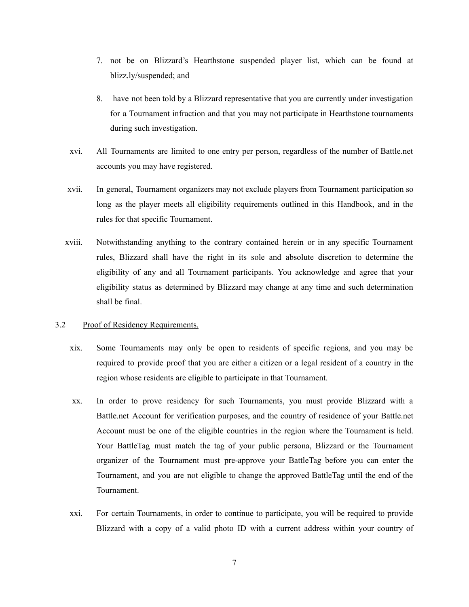- 7. not be on Blizzard's Hearthstone suspended player list, which can be found at blizz.ly/suspended; and
- 8. have not been told by a Blizzard representative that you are currently under investigation for a Tournament infraction and that you may not participate in Hearthstone tournaments during such investigation.
- xvi. All Tournaments are limited to one entry per person, regardless of the number of Battle.net accounts you may have registered.
- xvii. In general, Tournament organizers may not exclude players from Tournament participation so long as the player meets all eligibility requirements outlined in this Handbook, and in the rules for that specific Tournament.
- xviii. Notwithstanding anything to the contrary contained herein or in any specific Tournament rules, Blizzard shall have the right in its sole and absolute discretion to determine the eligibility of any and all Tournament participants. You acknowledge and agree that your eligibility status as determined by Blizzard may change at any time and such determination shall be final.

#### <span id="page-7-0"></span>3.2 Proof of Residency Requirements.

- xix. Some Tournaments may only be open to residents of specific regions, and you may be required to provide proof that you are either a citizen or a legal resident of a country in the region whose residents are eligible to participate in that Tournament.
- xx. In order to prove residency for such Tournaments, you must provide Blizzard with a Battle.net Account for verification purposes, and the country of residence of your Battle.net Account must be one of the eligible countries in the region where the Tournament is held. Your BattleTag must match the tag of your public persona, Blizzard or the Tournament organizer of the Tournament must pre-approve your BattleTag before you can enter the Tournament, and you are not eligible to change the approved BattleTag until the end of the Tournament.
- xxi. For certain Tournaments, in order to continue to participate, you will be required to provide Blizzard with a copy of a valid photo ID with a current address within your country of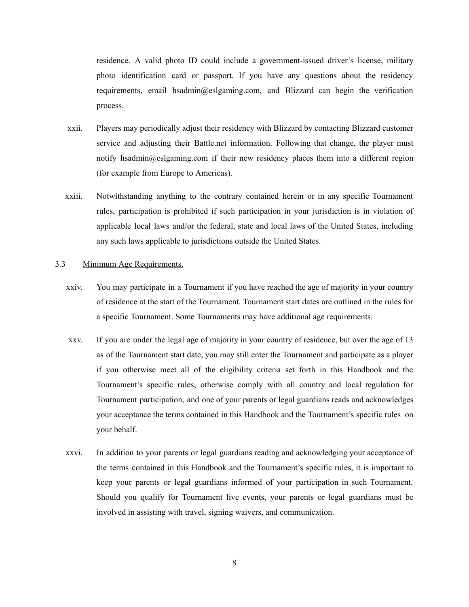residence. A valid photo ID could include a government-issued driver's license, military photo identification card or passport. If you have any questions about the residency requirements, email hsadmin@eslgaming.com, and Blizzard can begin the verification process.

- xxii. Players may periodically adjust their residency with Blizzard by contacting Blizzard customer service and adjusting their Battle.net information. Following that change, the player must notify hsadmin@eslgaming.com if their new residency places them into a different region (for example from Europe to Americas).
- xxiii. Notwithstanding anything to the contrary contained herein or in any specific Tournament rules, participation is prohibited if such participation in your jurisdiction is in violation of applicable local laws and/or the federal, state and local laws of the United States, including any such laws applicable to jurisdictions outside the United States.

#### <span id="page-8-0"></span>3.3 Minimum Age Requirements.

- xxiv. You may participate in a Tournament if you have reached the age of majority in your country of residence at the start of the Tournament. Tournament start dates are outlined in the rules for a specific Tournament. Some Tournaments may have additional age requirements.
- xxv. If you are under the legal age of majority in your country of residence, but over the age of 13 as of the Tournament start date, you may still enter the Tournament and participate as a player if you otherwise meet all of the eligibility criteria set forth in this Handbook and the Tournament's specific rules, otherwise comply with all country and local regulation for Tournament participation, and one of your parents or legal guardians reads and acknowledges your acceptance the terms contained in this Handbook and the Tournament's specific rules on your behalf.
- xxvi. In addition to your parents or legal guardians reading and acknowledging your acceptance of the terms contained in this Handbook and the Tournament's specific rules, it is important to keep your parents or legal guardians informed of your participation in such Tournament. Should you qualify for Tournament live events, your parents or legal guardians must be involved in assisting with travel, signing waivers, and communication.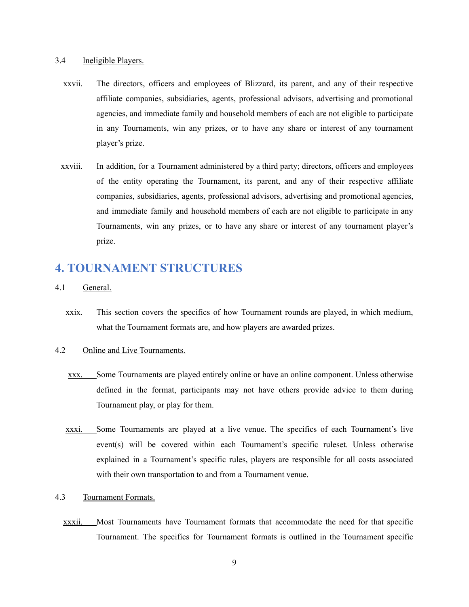#### <span id="page-9-0"></span>3.4 Ineligible Players.

- xxvii. The directors, officers and employees of Blizzard, its parent, and any of their respective affiliate companies, subsidiaries, agents, professional advisors, advertising and promotional agencies, and immediate family and household members of each are not eligible to participate in any Tournaments, win any prizes, or to have any share or interest of any tournament player's prize.
- xxviii. In addition, for a Tournament administered by a third party; directors, officers and employees of the entity operating the Tournament, its parent, and any of their respective affiliate companies, subsidiaries, agents, professional advisors, advertising and promotional agencies, and immediate family and household members of each are not eligible to participate in any Tournaments, win any prizes, or to have any share or interest of any tournament player's prize.

# **4. TOURNAMENT STRUCTURES**

- <span id="page-9-1"></span>4.1 General.
	- xxix. This section covers the specifics of how Tournament rounds are played, in which medium, what the Tournament formats are, and how players are awarded prizes.

#### <span id="page-9-2"></span>4.2 Online and Live Tournaments.

- xxx. Some Tournaments are played entirely online or have an online component. Unless otherwise defined in the format, participants may not have others provide advice to them during Tournament play, or play for them.
- xxxi. Some Tournaments are played at a live venue. The specifics of each Tournament's live event(s) will be covered within each Tournament's specific ruleset. Unless otherwise explained in a Tournament's specific rules, players are responsible for all costs associated with their own transportation to and from a Tournament venue.
- <span id="page-9-3"></span>4.3 Tournament Formats.
	- xxxii. Most Tournaments have Tournament formats that accommodate the need for that specific Tournament. The specifics for Tournament formats is outlined in the Tournament specific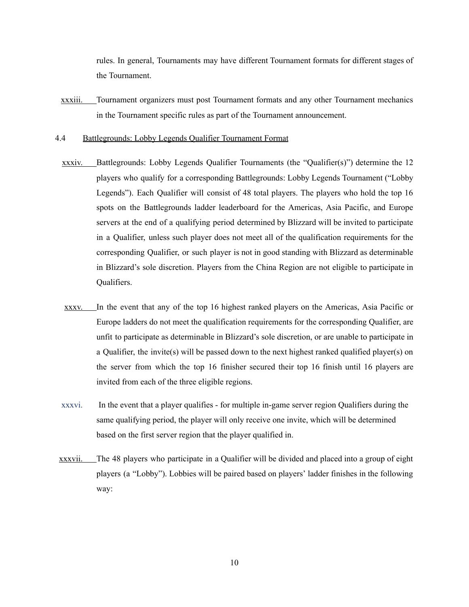rules. In general, Tournaments may have different Tournament formats for different stages of the Tournament.

- xxxiii. Tournament organizers must post Tournament formats and any other Tournament mechanics in the Tournament specific rules as part of the Tournament announcement.
- <span id="page-10-0"></span>4.4 Battlegrounds: Lobby Legends Qualifier Tournament Format
	- xxxiv. Battlegrounds: Lobby Legends Qualifier Tournaments (the "Qualifier(s)") determine the  $12$ players who qualify for a corresponding Battlegrounds: Lobby Legends Tournament ("Lobby Legends"). Each Qualifier will consist of 48 total players. The players who hold the top 16 spots on the Battlegrounds ladder leaderboard for the Americas, Asia Pacific, and Europe servers at the end of a qualifying period determined by Blizzard will be invited to participate in a Qualifier, unless such player does not meet all of the qualification requirements for the corresponding Qualifier, or such player is not in good standing with Blizzard as determinable in Blizzard's sole discretion. Players from the China Region are not eligible to participate in Qualifiers.
	- xxxv. In the event that any of the top 16 highest ranked players on the Americas, Asia Pacific or Europe ladders do not meet the qualification requirements for the corresponding Qualifier, are unfit to participate as determinable in Blizzard's sole discretion, or are unable to participate in a Qualifier, the invite(s) will be passed down to the next highest ranked qualified player(s) on the server from which the top 16 finisher secured their top 16 finish until 16 players are invited from each of the three eligible regions.
	- xxxvi. In the event that a player qualifies for multiple in-game server region Qualifiers during the same qualifying period, the player will only receive one invite, which will be determined based on the first server region that the player qualified in.
- xxxvii. The 48 players who participate in a Qualifier will be divided and placed into a group of eight players (a "Lobby"). Lobbies will be paired based on players' ladder finishes in the following way: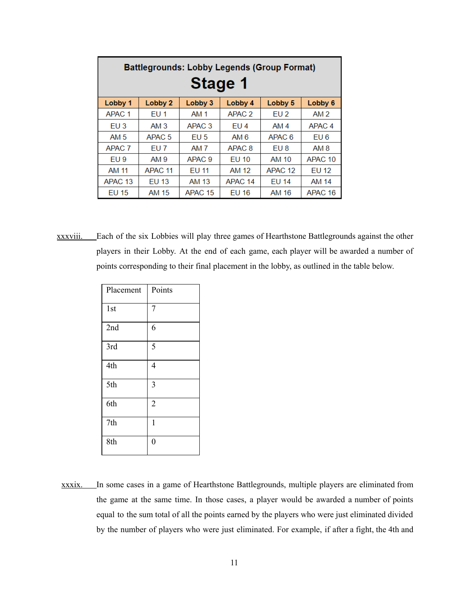| <b>Battlegrounds: Lobby Legends (Group Format)</b><br><b>Stage 1</b> |                    |                    |                    |                    |                    |  |  |  |
|----------------------------------------------------------------------|--------------------|--------------------|--------------------|--------------------|--------------------|--|--|--|
| Lobby 1                                                              | Lobby 2            | Lobby 3            | Lobby 4            | Lobby 5            | Lobby 6            |  |  |  |
| APAC <sub>1</sub>                                                    | EU <sub>1</sub>    | <b>AM 1</b>        | APAC <sub>2</sub>  | EU <sub>2</sub>    | AM <sub>2</sub>    |  |  |  |
| EU3                                                                  | AM <sub>3</sub>    | APAC <sub>3</sub>  | EU <sub>4</sub>    | AM 4               | APAC <sub>4</sub>  |  |  |  |
| AM 5                                                                 | APAC <sub>5</sub>  | EU <sub>5</sub>    | AM 6               | APAC <sub>6</sub>  | EU 6               |  |  |  |
| APAC <sub>7</sub>                                                    | EU 7               | AM 7               | APAC <sub>8</sub>  | EU 8               | AM 8               |  |  |  |
| EU <sub>9</sub>                                                      | AM 9               | APAC <sub>9</sub>  | <b>EU 10</b>       | AM 10              | APAC <sub>10</sub> |  |  |  |
| AM 11                                                                | APAC <sub>11</sub> | EU 11              | AM 12              | APAC <sub>12</sub> | <b>EU 12</b>       |  |  |  |
| APAC <sub>13</sub>                                                   | <b>EU 13</b>       | AM 13              | APAC <sub>14</sub> | <b>EU 14</b>       | <b>AM 14</b>       |  |  |  |
| <b>EU 15</b>                                                         | AM 15              | APAC <sub>15</sub> | <b>EU 16</b>       | AM 16              | APAC <sub>16</sub> |  |  |  |

xxxviii. Each of the six Lobbies will play three games of Hearthstone Battlegrounds against the other players in their Lobby. At the end of each game, each player will be awarded a number of points corresponding to their final placement in the lobby, as outlined in the table below.

| Placement | Points         |  |
|-----------|----------------|--|
| 1st       | $\overline{7}$ |  |
| 2nd       | 6              |  |
| 3rd       | 5              |  |
| 4th       | 4              |  |
| 5th       | 3              |  |
| 6th       | $\overline{2}$ |  |
| 7th       | $\mathbf{1}$   |  |
| 8th       | $\overline{0}$ |  |

xxxix. In some cases in a game of Hearthstone Battlegrounds, multiple players are eliminated from the game at the same time. In those cases, a player would be awarded a number of points equal to the sum total of all the points earned by the players who were just eliminated divided by the number of players who were just eliminated. For example, if after a fight, the 4th and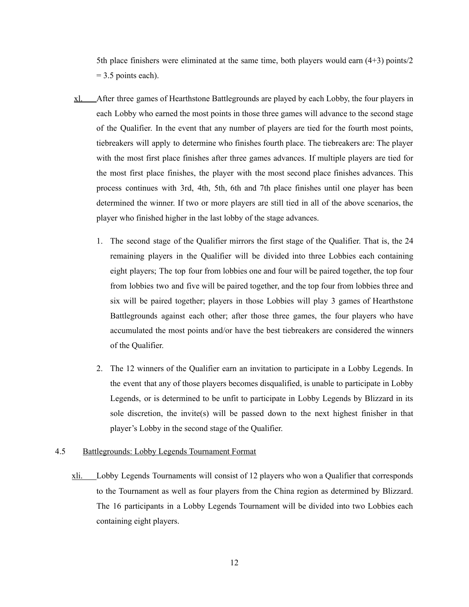5th place finishers were eliminated at the same time, both players would earn (4+3) points/2  $= 3.5$  points each).

- xl. After three games of Hearthstone Battlegrounds are played by each Lobby, the four players in each Lobby who earned the most points in those three games will advance to the second stage of the Qualifier. In the event that any number of players are tied for the fourth most points, tiebreakers will apply to determine who finishes fourth place. The tiebreakers are: The player with the most first place finishes after three games advances. If multiple players are tied for the most first place finishes, the player with the most second place finishes advances. This process continues with 3rd, 4th, 5th, 6th and 7th place finishes until one player has been determined the winner. If two or more players are still tied in all of the above scenarios, the player who finished higher in the last lobby of the stage advances.
	- 1. The second stage of the Qualifier mirrors the first stage of the Qualifier. That is, the 24 remaining players in the Qualifier will be divided into three Lobbies each containing eight players; The top four from lobbies one and four will be paired together, the top four from lobbies two and five will be paired together, and the top four from lobbies three and six will be paired together; players in those Lobbies will play 3 games of Hearthstone Battlegrounds against each other; after those three games, the four players who have accumulated the most points and/or have the best tiebreakers are considered the winners of the Qualifier.
	- 2. The 12 winners of the Qualifier earn an invitation to participate in a Lobby Legends. In the event that any of those players becomes disqualified, is unable to participate in Lobby Legends, or is determined to be unfit to participate in Lobby Legends by Blizzard in its sole discretion, the invite(s) will be passed down to the next highest finisher in that player's Lobby in the second stage of the Qualifier.

#### <span id="page-12-0"></span>4.5 Battlegrounds: Lobby Legends Tournament Format

xli. Lobby Legends Tournaments will consist of 12 players who won a Qualifier that corresponds to the Tournament as well as four players from the China region as determined by Blizzard. The 16 participants in a Lobby Legends Tournament will be divided into two Lobbies each containing eight players.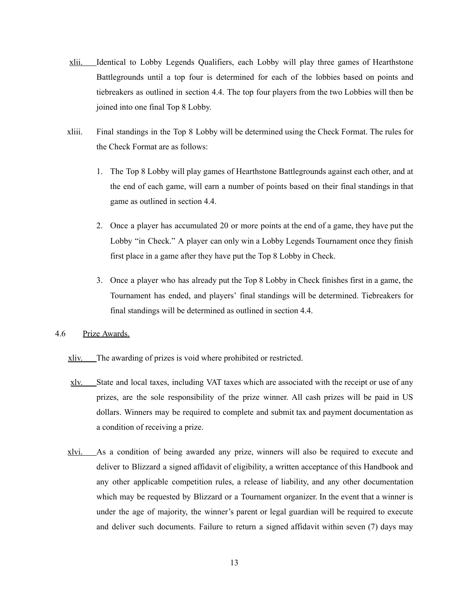- xlii. Identical to Lobby Legends Qualifiers, each Lobby will play three games of Hearthstone Battlegrounds until a top four is determined for each of the lobbies based on points and tiebreakers as outlined in section 4.4. The top four players from the two Lobbies will then be joined into one final Top 8 Lobby.
- xliii. Final standings in the Top 8 Lobby will be determined using the Check Format. The rules for the Check Format are as follows:
	- 1. The Top 8 Lobby will play games of Hearthstone Battlegrounds against each other, and at the end of each game, will earn a number of points based on their final standings in that game as outlined in section 4.4.
	- 2. Once a player has accumulated 20 or more points at the end of a game, they have put the Lobby "in Check." A player can only win a Lobby Legends Tournament once they finish first place in a game after they have put the Top 8 Lobby in Check.
	- 3. Once a player who has already put the Top 8 Lobby in Check finishes first in a game, the Tournament has ended, and players' final standings will be determined. Tiebreakers for final standings will be determined as outlined in section 4.4.
- <span id="page-13-0"></span>4.6 Prize Awards.

xliv. The awarding of prizes is void where prohibited or restricted.

- xlv. State and local taxes, including VAT taxes which are associated with the receipt or use of any prizes, are the sole responsibility of the prize winner. All cash prizes will be paid in US dollars. Winners may be required to complete and submit tax and payment documentation as a condition of receiving a prize.
- xlvi. As a condition of being awarded any prize, winners will also be required to execute and deliver to Blizzard a signed affidavit of eligibility, a written acceptance of this Handbook and any other applicable competition rules, a release of liability, and any other documentation which may be requested by Blizzard or a Tournament organizer. In the event that a winner is under the age of majority, the winner's parent or legal guardian will be required to execute and deliver such documents. Failure to return a signed affidavit within seven (7) days may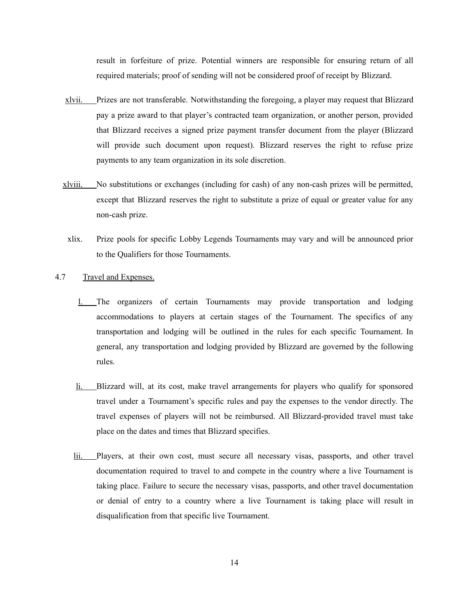result in forfeiture of prize. Potential winners are responsible for ensuring return of all required materials; proof of sending will not be considered proof of receipt by Blizzard.

- xlvii. Prizes are not transferable. Notwithstanding the foregoing, a player may request that Blizzard pay a prize award to that player's contracted team organization, or another person, provided that Blizzard receives a signed prize payment transfer document from the player (Blizzard will provide such document upon request). Blizzard reserves the right to refuse prize payments to any team organization in its sole discretion.
- xlviii. No substitutions or exchanges (including for cash) of any non-cash prizes will be permitted, except that Blizzard reserves the right to substitute a prize of equal or greater value for any non-cash prize.
- xlix. Prize pools for specific Lobby Legends Tournaments may vary and will be announced prior to the Qualifiers for those Tournaments.
- <span id="page-14-0"></span>4.7 Travel and Expenses.
	- l. The organizers of certain Tournaments may provide transportation and lodging accommodations to players at certain stages of the Tournament. The specifics of any transportation and lodging will be outlined in the rules for each specific Tournament. In general, any transportation and lodging provided by Blizzard are governed by the following rules.
	- li. Blizzard will, at its cost, make travel arrangements for players who qualify for sponsored travel under a Tournament's specific rules and pay the expenses to the vendor directly. The travel expenses of players will not be reimbursed. All Blizzard-provided travel must take place on the dates and times that Blizzard specifies.
	- lii. Players, at their own cost, must secure all necessary visas, passports, and other travel documentation required to travel to and compete in the country where a live Tournament is taking place. Failure to secure the necessary visas, passports, and other travel documentation or denial of entry to a country where a live Tournament is taking place will result in disqualification from that specific live Tournament.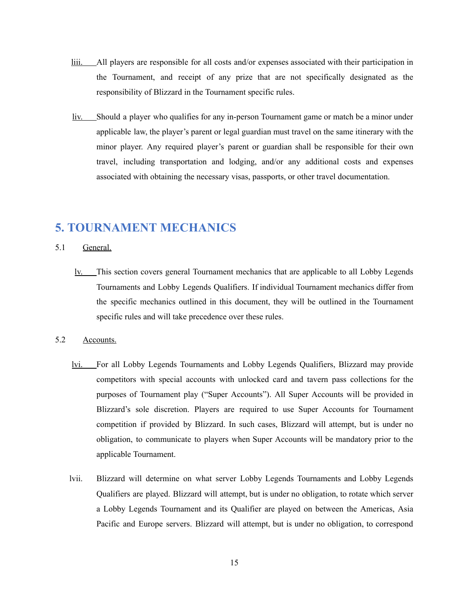- liii. All players are responsible for all costs and/or expenses associated with their participation in the Tournament, and receipt of any prize that are not specifically designated as the responsibility of Blizzard in the Tournament specific rules.
- liv. Should a player who qualifies for any in-person Tournament game or match be a minor under applicable law, the player's parent or legal guardian must travel on the same itinerary with the minor player. Any required player's parent or guardian shall be responsible for their own travel, including transportation and lodging, and/or any additional costs and expenses associated with obtaining the necessary visas, passports, or other travel documentation.

# <span id="page-15-0"></span>**5. TOURNAMENT MECHANICS**

#### <span id="page-15-1"></span>5.1 General.

lv. This section covers general Tournament mechanics that are applicable to all Lobby Legends Tournaments and Lobby Legends Qualifiers. If individual Tournament mechanics differ from the specific mechanics outlined in this document, they will be outlined in the Tournament specific rules and will take precedence over these rules.

#### <span id="page-15-2"></span>5.2 Accounts.

- lvi. For all Lobby Legends Tournaments and Lobby Legends Qualifiers, Blizzard may provide competitors with special accounts with unlocked card and tavern pass collections for the purposes of Tournament play ("Super Accounts"). All Super Accounts will be provided in Blizzard's sole discretion. Players are required to use Super Accounts for Tournament competition if provided by Blizzard. In such cases, Blizzard will attempt, but is under no obligation, to communicate to players when Super Accounts will be mandatory prior to the applicable Tournament.
- lvii. Blizzard will determine on what server Lobby Legends Tournaments and Lobby Legends Qualifiers are played. Blizzard will attempt, but is under no obligation, to rotate which server a Lobby Legends Tournament and its Qualifier are played on between the Americas, Asia Pacific and Europe servers. Blizzard will attempt, but is under no obligation, to correspond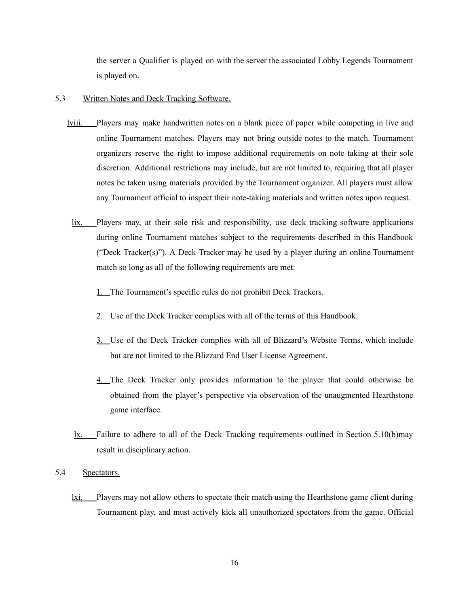the server a Qualifier is played on with the server the associated Lobby Legends Tournament is played on.

- 5.3 Written Notes and Deck Tracking Software.
	- lviii. Players may make handwritten notes on a blank piece of paper while competing in live and online Tournament matches. Players may not bring outside notes to the match. Tournament organizers reserve the right to impose additional requirements on note taking at their sole discretion. Additional restrictions may include, but are not limited to, requiring that all player notes be taken using materials provided by the Tournament organizer. All players must allow any Tournament official to inspect their note-taking materials and written notes upon request.
		- lix. Players may, at their sole risk and responsibility, use deck tracking software applications during online Tournament matches subject to the requirements described in this Handbook ("Deck Tracker(s)"). A Deck Tracker may be used by a player during an online Tournament match so long as all of the following requirements are met:
			- 1. The Tournament's specific rules do not prohibit Deck Trackers.
			- 2. Use of the Deck Tracker complies with all of the terms of this Handbook.
			- 3. Use of the Deck Tracker complies with all of Blizzard's Website Terms, which include but are not limited to the Blizzard End User License Agreement.
			- 4. The Deck Tracker only provides information to the player that could otherwise be obtained from the player's perspective via observation of the unaugmented Hearthstone game interface.
		- lx. Failure to adhere to all of the Deck Tracking requirements outlined in Section 5.10(b)may result in disciplinary action.
- 5.4 Spectators.
	- lxi. Players may not allow others to spectate their match using the Hearthstone game client during Tournament play, and must actively kick all unauthorized spectators from the game. Official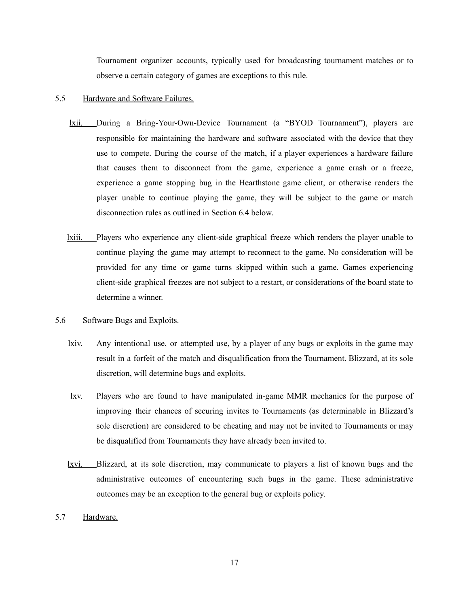Tournament organizer accounts, typically used for broadcasting tournament matches or to observe a certain category of games are exceptions to this rule.

#### 5.5 Hardware and Software Failures.

- lxii. During a Bring-Your-Own-Device Tournament (a "BYOD Tournament"), players are responsible for maintaining the hardware and software associated with the device that they use to compete. During the course of the match, if a player experiences a hardware failure that causes them to disconnect from the game, experience a game crash or a freeze, experience a game stopping bug in the Hearthstone game client, or otherwise renders the player unable to continue playing the game, they will be subject to the game or match disconnection rules as outlined in Section 6.4 below.
- lxiii. Players who experience any client-side graphical freeze which renders the player unable to continue playing the game may attempt to reconnect to the game. No consideration will be provided for any time or game turns skipped within such a game. Games experiencing client-side graphical freezes are not subject to a restart, or considerations of the board state to determine a winner.

#### <span id="page-17-0"></span>5.6 Software Bugs and Exploits.

- lxiv. Any intentional use, or attempted use, by a player of any bugs or exploits in the game may result in a forfeit of the match and disqualification from the Tournament. Blizzard, at its sole discretion, will determine bugs and exploits.
- lxv. Players who are found to have manipulated in-game MMR mechanics for the purpose of improving their chances of securing invites to Tournaments (as determinable in Blizzard's sole discretion) are considered to be cheating and may not be invited to Tournaments or may be disqualified from Tournaments they have already been invited to.
- lxvi. Blizzard, at its sole discretion, may communicate to players a list of known bugs and the administrative outcomes of encountering such bugs in the game. These administrative outcomes may be an exception to the general bug or exploits policy.

#### 5.7 Hardware.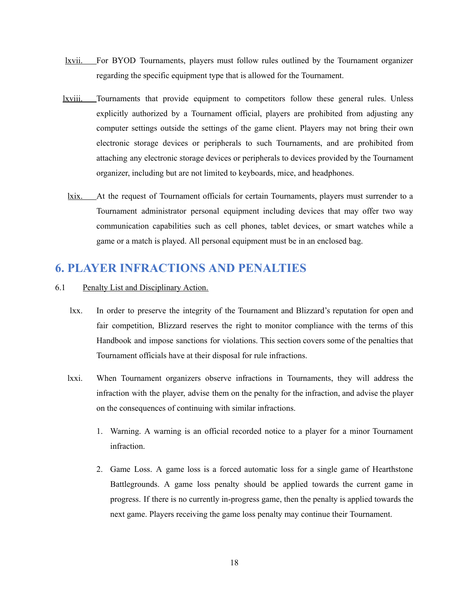- lxvii. For BYOD Tournaments, players must follow rules outlined by the Tournament organizer regarding the specific equipment type that is allowed for the Tournament.
- lxviii. Tournaments that provide equipment to competitors follow these general rules. Unless explicitly authorized by a Tournament official, players are prohibited from adjusting any computer settings outside the settings of the game client. Players may not bring their own electronic storage devices or peripherals to such Tournaments, and are prohibited from attaching any electronic storage devices or peripherals to devices provided by the Tournament organizer, including but are not limited to keyboards, mice, and headphones.
- lxix. At the request of Tournament officials for certain Tournaments, players must surrender to a Tournament administrator personal equipment including devices that may offer two way communication capabilities such as cell phones, tablet devices, or smart watches while a game or a match is played. All personal equipment must be in an enclosed bag.

### **6. PLAYER INFRACTIONS AND PENALTIES**

- 6.1 Penalty List and Disciplinary Action.
	- lxx. In order to preserve the integrity of the Tournament and Blizzard's reputation for open and fair competition, Blizzard reserves the right to monitor compliance with the terms of this Handbook and impose sanctions for violations. This section covers some of the penalties that Tournament officials have at their disposal for rule infractions.
	- lxxi. When Tournament organizers observe infractions in Tournaments, they will address the infraction with the player, advise them on the penalty for the infraction, and advise the player on the consequences of continuing with similar infractions.
		- 1. Warning. A warning is an official recorded notice to a player for a minor Tournament infraction.
		- 2. Game Loss. A game loss is a forced automatic loss for a single game of Hearthstone Battlegrounds. A game loss penalty should be applied towards the current game in progress. If there is no currently in-progress game, then the penalty is applied towards the next game. Players receiving the game loss penalty may continue their Tournament.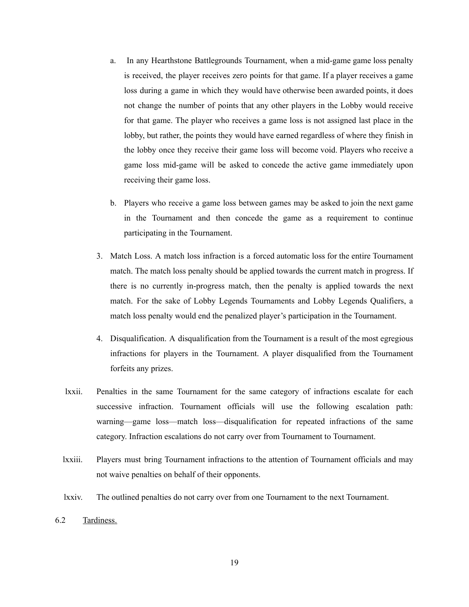- a. In any Hearthstone Battlegrounds Tournament, when a mid-game game loss penalty is received, the player receives zero points for that game. If a player receives a game loss during a game in which they would have otherwise been awarded points, it does not change the number of points that any other players in the Lobby would receive for that game. The player who receives a game loss is not assigned last place in the lobby, but rather, the points they would have earned regardless of where they finish in the lobby once they receive their game loss will become void. Players who receive a game loss mid-game will be asked to concede the active game immediately upon receiving their game loss.
- b. Players who receive a game loss between games may be asked to join the next game in the Tournament and then concede the game as a requirement to continue participating in the Tournament.
- 3. Match Loss. A match loss infraction is a forced automatic loss for the entire Tournament match. The match loss penalty should be applied towards the current match in progress. If there is no currently in-progress match, then the penalty is applied towards the next match. For the sake of Lobby Legends Tournaments and Lobby Legends Qualifiers, a match loss penalty would end the penalized player's participation in the Tournament.
- 4. Disqualification. A disqualification from the Tournament is a result of the most egregious infractions for players in the Tournament. A player disqualified from the Tournament forfeits any prizes.
- lxxii. Penalties in the same Tournament for the same category of infractions escalate for each successive infraction. Tournament officials will use the following escalation path: warning—game loss—match loss—disqualification for repeated infractions of the same category. Infraction escalations do not carry over from Tournament to Tournament.
- lxxiii. Players must bring Tournament infractions to the attention of Tournament officials and may not waive penalties on behalf of their opponents.
- lxxiv. The outlined penalties do not carry over from one Tournament to the next Tournament.
- 6.2 Tardiness.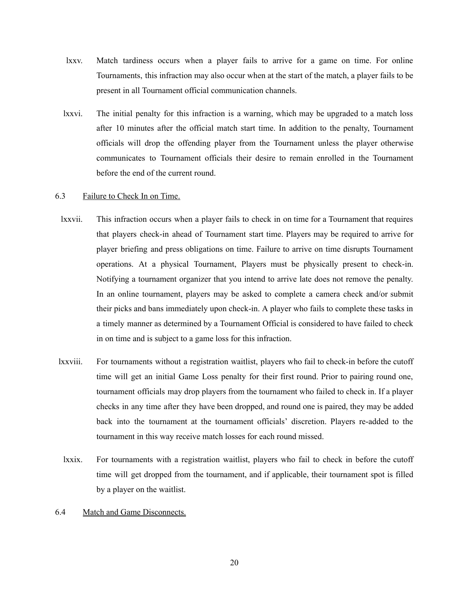- lxxv. Match tardiness occurs when a player fails to arrive for a game on time. For online Tournaments, this infraction may also occur when at the start of the match, a player fails to be present in all Tournament official communication channels.
- lxxvi. The initial penalty for this infraction is a warning, which may be upgraded to a match loss after 10 minutes after the official match start time. In addition to the penalty, Tournament officials will drop the offending player from the Tournament unless the player otherwise communicates to Tournament officials their desire to remain enrolled in the Tournament before the end of the current round.

#### 6.3 Failure to Check In on Time.

- lxxvii. This infraction occurs when a player fails to check in on time for a Tournament that requires that players check-in ahead of Tournament start time. Players may be required to arrive for player briefing and press obligations on time. Failure to arrive on time disrupts Tournament operations. At a physical Tournament, Players must be physically present to check-in. Notifying a tournament organizer that you intend to arrive late does not remove the penalty. In an online tournament, players may be asked to complete a camera check and/or submit their picks and bans immediately upon check-in. A player who fails to complete these tasks in a timely manner as determined by a Tournament Official is considered to have failed to check in on time and is subject to a game loss for this infraction.
- lxxviii. For tournaments without a registration waitlist, players who fail to check-in before the cutoff time will get an initial Game Loss penalty for their first round. Prior to pairing round one, tournament officials may drop players from the tournament who failed to check in. If a player checks in any time after they have been dropped, and round one is paired, they may be added back into the tournament at the tournament officials' discretion. Players re-added to the tournament in this way receive match losses for each round missed.
- lxxix. For tournaments with a registration waitlist, players who fail to check in before the cutoff time will get dropped from the tournament, and if applicable, their tournament spot is filled by a player on the waitlist.
- 6.4 Match and Game Disconnects.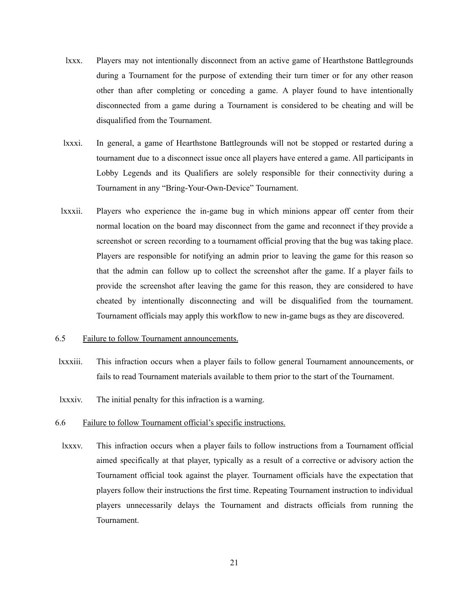- lxxx. Players may not intentionally disconnect from an active game of Hearthstone Battlegrounds during a Tournament for the purpose of extending their turn timer or for any other reason other than after completing or conceding a game. A player found to have intentionally disconnected from a game during a Tournament is considered to be cheating and will be disqualified from the Tournament.
- lxxxi. In general, a game of Hearthstone Battlegrounds will not be stopped or restarted during a tournament due to a disconnect issue once all players have entered a game. All participants in Lobby Legends and its Qualifiers are solely responsible for their connectivity during a Tournament in any "Bring-Your-Own-Device" Tournament.
- lxxxii. Players who experience the in-game bug in which minions appear off center from their normal location on the board may disconnect from the game and reconnect if they provide a screenshot or screen recording to a tournament official proving that the bug was taking place. Players are responsible for notifying an admin prior to leaving the game for this reason so that the admin can follow up to collect the screenshot after the game. If a player fails to provide the screenshot after leaving the game for this reason, they are considered to have cheated by intentionally disconnecting and will be disqualified from the tournament. Tournament officials may apply this workflow to new in-game bugs as they are discovered.
- 6.5 Failure to follow Tournament announcements.
- lxxxiii. This infraction occurs when a player fails to follow general Tournament announcements, or fails to read Tournament materials available to them prior to the start of the Tournament.
- lxxxiv. The initial penalty for this infraction is a warning.
- 6.6 Failure to follow Tournament official's specific instructions.
	- lxxxv. This infraction occurs when a player fails to follow instructions from a Tournament official aimed specifically at that player, typically as a result of a corrective or advisory action the Tournament official took against the player. Tournament officials have the expectation that players follow their instructions the first time. Repeating Tournament instruction to individual players unnecessarily delays the Tournament and distracts officials from running the Tournament.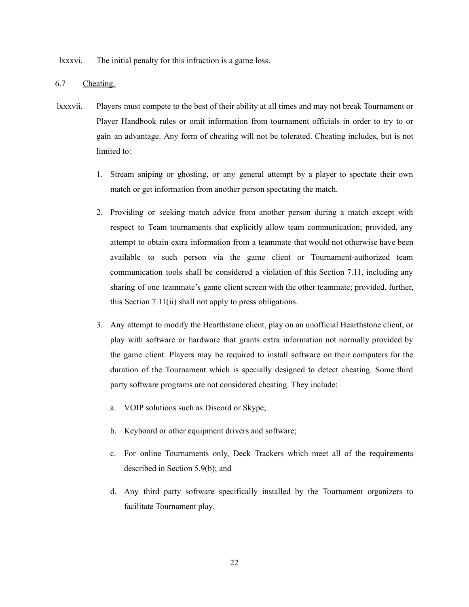lxxxvi. The initial penalty for this infraction is a game loss.

#### <span id="page-22-0"></span>6.7 Cheating.

- lxxxvii. Players must compete to the best of their ability at all times and may not break Tournament or Player Handbook rules or omit information from tournament officials in order to try to or gain an advantage. Any form of cheating will not be tolerated. Cheating includes, but is not limited to:
	- 1. Stream sniping or ghosting, or any general attempt by a player to spectate their own match or get information from another person spectating the match.
	- 2. Providing or seeking match advice from another person during a match except with respect to Team tournaments that explicitly allow team communication; provided, any attempt to obtain extra information from a teammate that would not otherwise have been available to such person via the game client or Tournament-authorized team communication tools shall be considered a violation of this Section 7.11, including any sharing of one teammate's game client screen with the other teammate; provided, further, this Section 7.11(ii) shall not apply to press obligations.
	- 3. Any attempt to modify the Hearthstone client, play on an unofficial Hearthstone client, or play with software or hardware that grants extra information not normally provided by the game client. Players may be required to install software on their computers for the duration of the Tournament which is specially designed to detect cheating. Some third party software programs are not considered cheating. They include:
		- a. VOIP solutions such as Discord or Skype;
		- b. Keyboard or other equipment drivers and software;
		- c. For online Tournaments only, Deck Trackers which meet all of the requirements described in Section 5.9(b); and
		- d. Any third party software specifically installed by the Tournament organizers to facilitate Tournament play.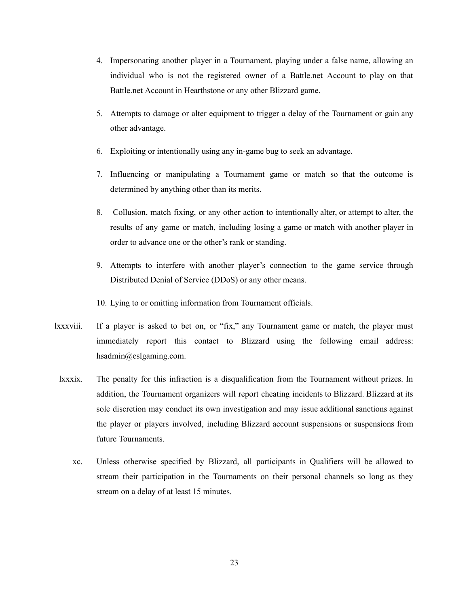- 4. Impersonating another player in a Tournament, playing under a false name, allowing an individual who is not the registered owner of a Battle.net Account to play on that Battle.net Account in Hearthstone or any other Blizzard game.
- 5. Attempts to damage or alter equipment to trigger a delay of the Tournament or gain any other advantage.
- 6. Exploiting or intentionally using any in-game bug to seek an advantage.
- 7. Influencing or manipulating a Tournament game or match so that the outcome is determined by anything other than its merits.
- 8. Collusion, match fixing, or any other action to intentionally alter, or attempt to alter, the results of any game or match, including losing a game or match with another player in order to advance one or the other's rank or standing.
- 9. Attempts to interfere with another player's connection to the game service through Distributed Denial of Service (DDoS) or any other means.
- 10. Lying to or omitting information from Tournament officials.
- lxxxviii. If a player is asked to bet on, or "fix," any Tournament game or match, the player must immediately report this contact to Blizzard using the following email address: hsadmin@eslgaming.com.
- lxxxix. The penalty for this infraction is a disqualification from the Tournament without prizes. In addition, the Tournament organizers will report cheating incidents to Blizzard. Blizzard at its sole discretion may conduct its own investigation and may issue additional sanctions against the player or players involved, including Blizzard account suspensions or suspensions from future Tournaments.
	- xc. Unless otherwise specified by Blizzard, all participants in Qualifiers will be allowed to stream their participation in the Tournaments on their personal channels so long as they stream on a delay of at least 15 minutes.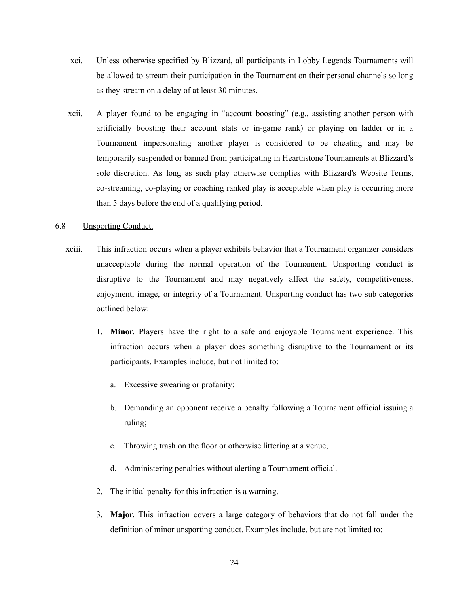- xci. Unless otherwise specified by Blizzard, all participants in Lobby Legends Tournaments will be allowed to stream their participation in the Tournament on their personal channels so long as they stream on a delay of at least 30 minutes.
- xcii. A player found to be engaging in "account boosting" (e.g., assisting another person with artificially boosting their account stats or in-game rank) or playing on ladder or in a Tournament impersonating another player is considered to be cheating and may be temporarily suspended or banned from participating in Hearthstone Tournaments at Blizzard's sole discretion. As long as such play otherwise complies with Blizzard's Website Terms, co-streaming, co-playing or coaching ranked play is acceptable when play is occurring more than 5 days before the end of a qualifying period.

#### 6.8 Unsporting Conduct.

- xciii. This infraction occurs when a player exhibits behavior that a Tournament organizer considers unacceptable during the normal operation of the Tournament. Unsporting conduct is disruptive to the Tournament and may negatively affect the safety, competitiveness, enjoyment, image, or integrity of a Tournament. Unsporting conduct has two sub categories outlined below:
	- 1. **Minor.** Players have the right to a safe and enjoyable Tournament experience. This infraction occurs when a player does something disruptive to the Tournament or its participants. Examples include, but not limited to:
		- a. Excessive swearing or profanity;
		- b. Demanding an opponent receive a penalty following a Tournament official issuing a ruling;
		- c. Throwing trash on the floor or otherwise littering at a venue;
		- d. Administering penalties without alerting a Tournament official.
	- 2. The initial penalty for this infraction is a warning.
	- 3. **Major.** This infraction covers a large category of behaviors that do not fall under the definition of minor unsporting conduct. Examples include, but are not limited to: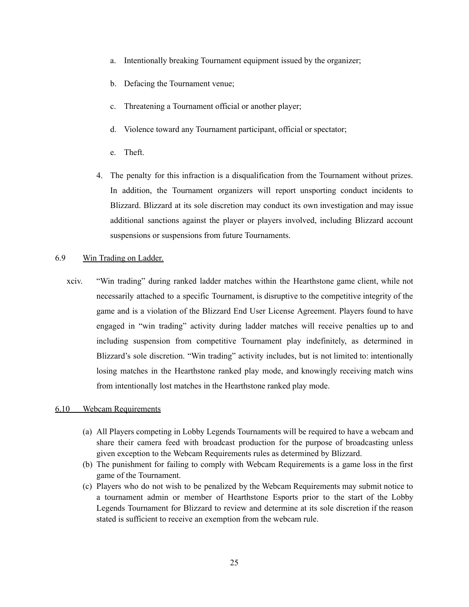- a. Intentionally breaking Tournament equipment issued by the organizer;
- b. Defacing the Tournament venue;
- c. Threatening a Tournament official or another player;
- d. Violence toward any Tournament participant, official or spectator;
- e. Theft.
- 4. The penalty for this infraction is a disqualification from the Tournament without prizes. In addition, the Tournament organizers will report unsporting conduct incidents to Blizzard. Blizzard at its sole discretion may conduct its own investigation and may issue additional sanctions against the player or players involved, including Blizzard account suspensions or suspensions from future Tournaments.

#### 6.9 Win Trading on Ladder.

xciv. "Win trading" during ranked ladder matches within the Hearthstone game client, while not necessarily attached to a specific Tournament, is disruptive to the competitive integrity of the game and is a violation of the Blizzard End User License Agreement. Players found to have engaged in "win trading" activity during ladder matches will receive penalties up to and including suspension from competitive Tournament play indefinitely, as determined in Blizzard's sole discretion. "Win trading" activity includes, but is not limited to: intentionally losing matches in the Hearthstone ranked play mode, and knowingly receiving match wins from intentionally lost matches in the Hearthstone ranked play mode.

#### 6.10 Webcam Requirements

- (a) All Players competing in Lobby Legends Tournaments will be required to have a webcam and share their camera feed with broadcast production for the purpose of broadcasting unless given exception to the Webcam Requirements rules as determined by Blizzard.
- (b) The punishment for failing to comply with Webcam Requirements is a game loss in the first game of the Tournament.
- (c) Players who do not wish to be penalized by the Webcam Requirements may submit notice to a tournament admin or member of Hearthstone Esports prior to the start of the Lobby Legends Tournament for Blizzard to review and determine at its sole discretion if the reason stated is sufficient to receive an exemption from the webcam rule.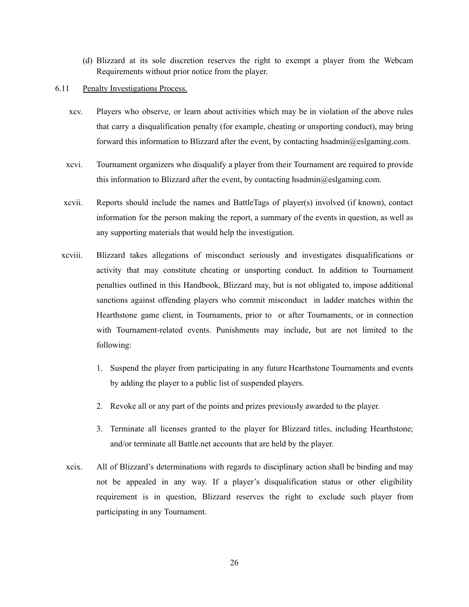- (d) Blizzard at its sole discretion reserves the right to exempt a player from the Webcam Requirements without prior notice from the player.
- 6.11 Penalty Investigations Process.
	- xcv. Players who observe, or learn about activities which may be in violation of the above rules that carry a disqualification penalty (for example, cheating or unsporting conduct), may bring forward this information to Blizzard after the event, by contacting hsadmin@eslgaming.com.
	- xcvi. Tournament organizers who disqualify a player from their Tournament are required to provide this information to Blizzard after the event, by contacting hsadmin $@e$ slgaming.com.
	- xcvii. Reports should include the names and BattleTags of player(s) involved (if known), contact information for the person making the report, a summary of the events in question, as well as any supporting materials that would help the investigation.
	- xcviii. Blizzard takes allegations of misconduct seriously and investigates disqualifications or activity that may constitute cheating or unsporting conduct. In addition to Tournament penalties outlined in this Handbook, Blizzard may, but is not obligated to, impose additional sanctions against offending players who commit misconduct in ladder matches within the Hearthstone game client, in Tournaments, prior to or after Tournaments, or in connection with Tournament-related events. Punishments may include, but are not limited to the following:
		- 1. Suspend the player from participating in any future Hearthstone Tournaments and events by adding the player to a public list of suspended players.
		- 2. Revoke all or any part of the points and prizes previously awarded to the player.
		- 3. Terminate all licenses granted to the player for Blizzard titles, including Hearthstone; and/or terminate all Battle.net accounts that are held by the player.
	- xcix. All of Blizzard's determinations with regards to disciplinary action shall be binding and may not be appealed in any way. If a player's disqualification status or other eligibility requirement is in question, Blizzard reserves the right to exclude such player from participating in any Tournament.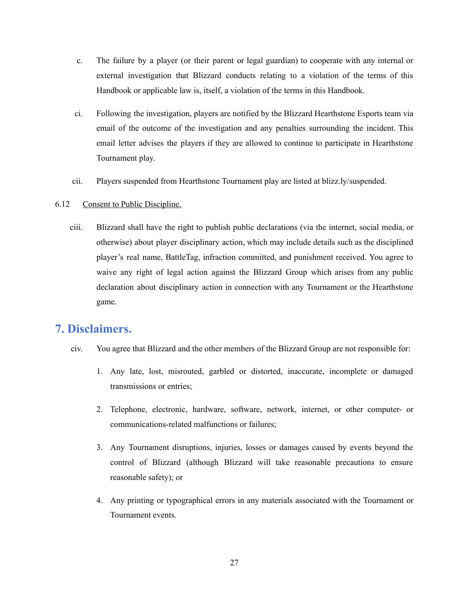- c. The failure by a player (or their parent or legal guardian) to cooperate with any internal or external investigation that Blizzard conducts relating to a violation of the terms of this Handbook or applicable law is, itself, a violation of the terms in this Handbook.
- ci. Following the investigation, players are notified by the Blizzard Hearthstone Esports team via email of the outcome of the investigation and any penalties surrounding the incident. This email letter advises the players if they are allowed to continue to participate in Hearthstone Tournament play.
- cii. Players suspended from Hearthstone Tournament play are listed at blizz.ly/suspended.

#### <span id="page-27-0"></span>6.12 Consent to Public Discipline.

ciii. Blizzard shall have the right to publish public declarations (via the internet, social media, or otherwise) about player disciplinary action, which may include details such as the disciplined player's real name, BattleTag, infraction committed, and punishment received. You agree to waive any right of legal action against the Blizzard Group which arises from any public declaration about disciplinary action in connection with any Tournament or the Hearthstone game.

### **7. Disclaimers.**

- civ. You agree that Blizzard and the other members of the Blizzard Group are not responsible for:
	- 1. Any late, lost, misrouted, garbled or distorted, inaccurate, incomplete or damaged transmissions or entries;
	- 2. Telephone, electronic, hardware, software, network, internet, or other computer- or communications-related malfunctions or failures;
	- 3. Any Tournament disruptions, injuries, losses or damages caused by events beyond the control of Blizzard (although Blizzard will take reasonable precautions to ensure reasonable safety); or
	- 4. Any printing or typographical errors in any materials associated with the Tournament or Tournament events.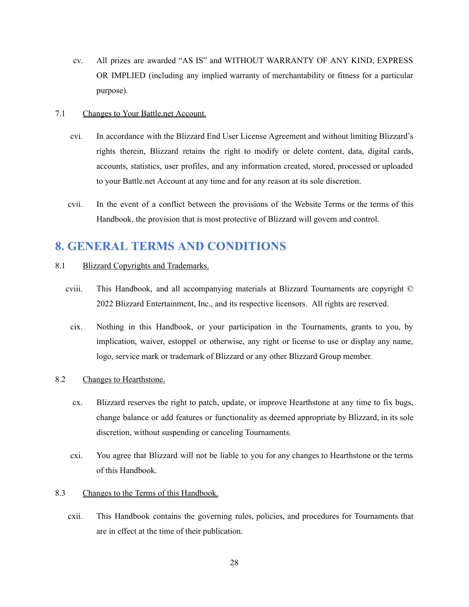cv. All prizes are awarded "AS IS" and WITHOUT WARRANTY OF ANY KIND, EXPRESS OR IMPLIED (including any implied warranty of merchantability or fitness for a particular purpose).

#### 7.1 Changes to Your Battle.net Account.

- cvi. In accordance with the Blizzard End User License Agreement and without limiting Blizzard's rights therein, Blizzard retains the right to modify or delete content, data, digital cards, accounts, statistics, user profiles, and any information created, stored, processed or uploaded to your Battle.net Account at any time and for any reason at its sole discretion.
- cvii. In the event of a conflict between the provisions of the Website Terms or the terms of this Handbook, the provision that is most protective of Blizzard will govern and control.

### **8. GENERAL TERMS AND CONDITIONS**

#### 8.1 Blizzard Copyrights and Trademarks.

- cviii. This Handbook, and all accompanying materials at Blizzard Tournaments are copyright © 2022 Blizzard Entertainment, Inc., and its respective licensors. All rights are reserved.
	- cix. Nothing in this Handbook, or your participation in the Tournaments, grants to you, by implication, waiver, estoppel or otherwise, any right or license to use or display any name, logo, service mark or trademark of Blizzard or any other Blizzard Group member.

#### 8.2 Changes to Hearthstone.

- cx. Blizzard reserves the right to patch, update, or improve Hearthstone at any time to fix bugs, change balance or add features or functionality as deemed appropriate by Blizzard, in its sole discretion, without suspending or canceling Tournaments.
- cxi. You agree that Blizzard will not be liable to you for any changes to Hearthstone or the terms of this Handbook.
- 8.3 Changes to the Terms of this Handbook.
	- cxii. This Handbook contains the governing rules, policies, and procedures for Tournaments that are in effect at the time of their publication.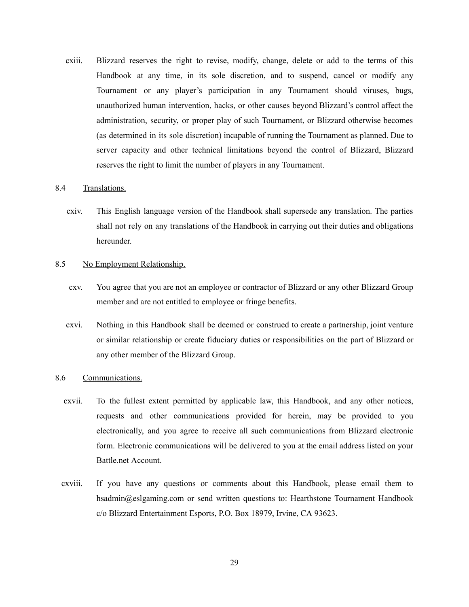cxiii. Blizzard reserves the right to revise, modify, change, delete or add to the terms of this Handbook at any time, in its sole discretion, and to suspend, cancel or modify any Tournament or any player's participation in any Tournament should viruses, bugs, unauthorized human intervention, hacks, or other causes beyond Blizzard's control affect the administration, security, or proper play of such Tournament, or Blizzard otherwise becomes (as determined in its sole discretion) incapable of running the Tournament as planned. Due to server capacity and other technical limitations beyond the control of Blizzard, Blizzard reserves the right to limit the number of players in any Tournament.

#### 8.4 Translations.

cxiv. This English language version of the Handbook shall supersede any translation. The parties shall not rely on any translations of the Handbook in carrying out their duties and obligations hereunder.

#### 8.5 No Employment Relationship.

- cxv. You agree that you are not an employee or contractor of Blizzard or any other Blizzard Group member and are not entitled to employee or fringe benefits.
- cxvi. Nothing in this Handbook shall be deemed or construed to create a partnership, joint venture or similar relationship or create fiduciary duties or responsibilities on the part of Blizzard or any other member of the Blizzard Group.

#### 8.6 Communications.

- cxvii. To the fullest extent permitted by applicable law, this Handbook, and any other notices, requests and other communications provided for herein, may be provided to you electronically, and you agree to receive all such communications from Blizzard electronic form. Electronic communications will be delivered to you at the email address listed on your Battle.net Account.
- cxviii. If you have any questions or comments about this Handbook, please email them to hsadmin@eslgaming.com or send written questions to: Hearthstone Tournament Handbook c/o Blizzard Entertainment Esports, P.O. Box 18979, Irvine, CA 93623.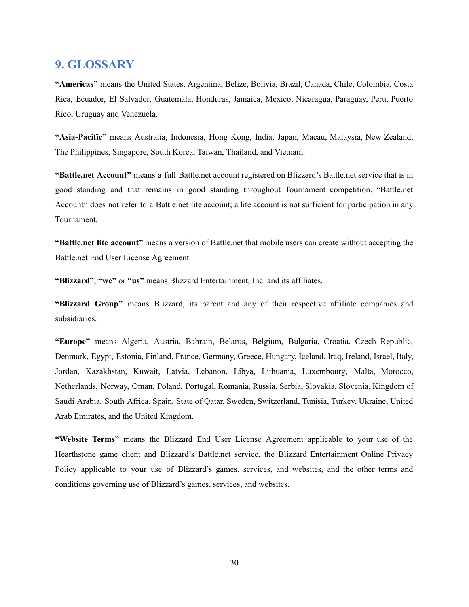## **9. GLOSSARY**

**"Americas"** means the United States, Argentina, Belize, Bolivia, Brazil, Canada, Chile, Colombia, Costa Rica, Ecuador, El Salvador, Guatemala, Honduras, Jamaica, Mexico, Nicaragua, Paraguay, Peru, Puerto Rico, Uruguay and Venezuela.

**"Asia-Pacific"** means Australia, Indonesia, Hong Kong, India, Japan, Macau, Malaysia, New Zealand, The Philippines, Singapore, South Korea, Taiwan, Thailand, and Vietnam.

**"Battle.net Account"** means a full Battle.net account registered on Blizzard's Battle.net service that is in good standing and that remains in good standing throughout Tournament competition. "Battle.net Account" does not refer to a Battle.net lite account; a lite account is not sufficient for participation in any Tournament.

**"Battle.net lite account"** means a version of Battle.net that mobile users can create without accepting the Battle.net End User License Agreement.

**"Blizzard"**, **"we"** or **"us"** means Blizzard Entertainment, Inc. and its affiliates.

**"Blizzard Group"** means Blizzard, its parent and any of their respective affiliate companies and subsidiaries.

**"Europe"** means Algeria, Austria, Bahrain, Belarus, Belgium, Bulgaria, Croatia, Czech Republic, Denmark, Egypt, Estonia, Finland, France, Germany, Greece, Hungary, Iceland, Iraq, Ireland, Israel, Italy, Jordan, Kazakhstan, Kuwait, Latvia, Lebanon, Libya, Lithuania, Luxembourg, Malta, Morocco, Netherlands, Norway, Oman, Poland, Portugal, Romania, Russia, Serbia, Slovakia, Slovenia, Kingdom of Saudi Arabia, South Africa, Spain, State of Qatar, Sweden, Switzerland, Tunisia, Turkey, Ukraine, United Arab Emirates, and the United Kingdom.

**"Website Terms"** means the Blizzard End User License Agreement applicable to your use of the Hearthstone game client and Blizzard's Battle.net service, the Blizzard Entertainment Online Privacy Policy applicable to your use of Blizzard's games, services, and websites, and the other terms and conditions governing use of Blizzard's games, services, and websites.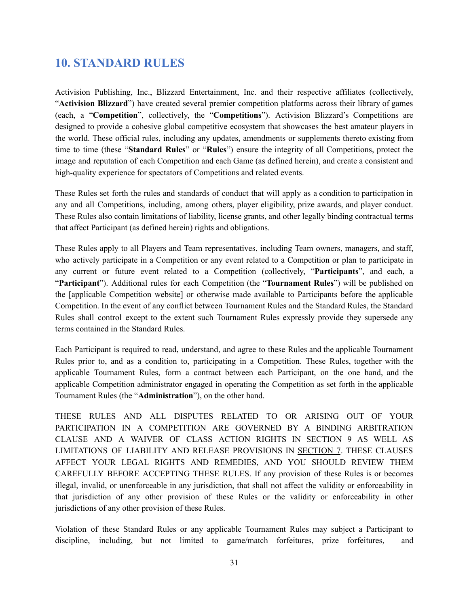# **10. STANDARD RULES**

Activision Publishing, Inc., Blizzard Entertainment, Inc. and their respective affiliates (collectively, "**Activision Blizzard**") have created several premier competition platforms across their library of games (each, a "**Competition**", collectively, the "**Competitions**"). Activision Blizzard's Competitions are designed to provide a cohesive global competitive ecosystem that showcases the best amateur players in the world. These official rules, including any updates, amendments or supplements thereto existing from time to time (these "**Standard Rules**" or "**Rules**") ensure the integrity of all Competitions, protect the image and reputation of each Competition and each Game (as defined herein), and create a consistent and high-quality experience for spectators of Competitions and related events.

These Rules set forth the rules and standards of conduct that will apply as a condition to participation in any and all Competitions, including, among others, player eligibility, prize awards, and player conduct. These Rules also contain limitations of liability, license grants, and other legally binding contractual terms that affect Participant (as defined herein) rights and obligations.

These Rules apply to all Players and Team representatives, including Team owners, managers, and staff, who actively participate in a Competition or any event related to a Competition or plan to participate in any current or future event related to a Competition (collectively, "**Participants**", and each, a "**Participant**"). Additional rules for each Competition (the "**Tournament Rules**") will be published on the [applicable Competition website] or otherwise made available to Participants before the applicable Competition. In the event of any conflict between Tournament Rules and the Standard Rules, the Standard Rules shall control except to the extent such Tournament Rules expressly provide they supersede any terms contained in the Standard Rules.

Each Participant is required to read, understand, and agree to these Rules and the applicable Tournament Rules prior to, and as a condition to, participating in a Competition. These Rules, together with the applicable Tournament Rules, form a contract between each Participant, on the one hand, and the applicable Competition administrator engaged in operating the Competition as set forth in the applicable Tournament Rules (the "**Administration**"), on the other hand.

THESE RULES AND ALL DISPUTES RELATED TO OR ARISING OUT OF YOUR PARTICIPATION IN A COMPETITION ARE GOVERNED BY A BINDING ARBITRATION CLAUSE AND A WAIVER OF CLASS ACTION RIGHTS IN SECTION 9 AS WELL AS LIMITATIONS OF LIABILITY AND RELEASE PROVISIONS IN SECTION 7. THESE CLAUSES AFFECT YOUR LEGAL RIGHTS AND REMEDIES, AND YOU SHOULD REVIEW THEM CAREFULLY BEFORE ACCEPTING THESE RULES. If any provision of these Rules is or becomes illegal, invalid, or unenforceable in any jurisdiction, that shall not affect the validity or enforceability in that jurisdiction of any other provision of these Rules or the validity or enforceability in other jurisdictions of any other provision of these Rules.

Violation of these Standard Rules or any applicable Tournament Rules may subject a Participant to discipline, including, but not limited to game/match forfeitures, prize forfeitures, and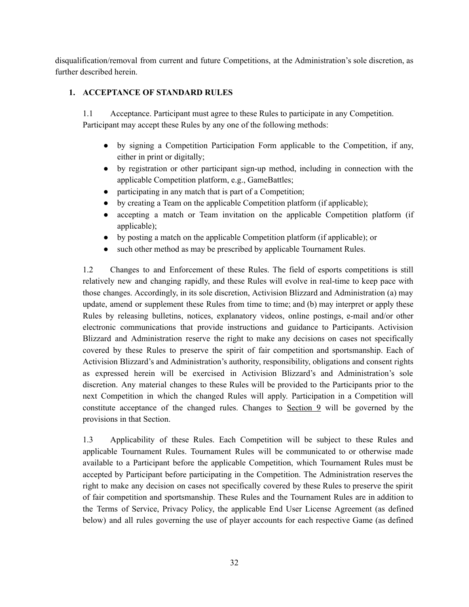disqualification/removal from current and future Competitions, at the Administration's sole discretion, as further described herein.

### **1. ACCEPTANCE OF STANDARD RULES**

1.1 Acceptance. Participant must agree to these Rules to participate in any Competition. Participant may accept these Rules by any one of the following methods:

- by signing a Competition Participation Form applicable to the Competition, if any, either in print or digitally;
- by registration or other participant sign-up method, including in connection with the applicable Competition platform, e.g., GameBattles;
- participating in any match that is part of a Competition;
- by creating a Team on the applicable Competition platform (if applicable);
- accepting a match or Team invitation on the applicable Competition platform (if applicable);
- by posting a match on the applicable Competition platform (if applicable); or
- such other method as may be prescribed by applicable Tournament Rules.

1.2 Changes to and Enforcement of these Rules. The field of esports competitions is still relatively new and changing rapidly, and these Rules will evolve in real-time to keep pace with those changes. Accordingly, in its sole discretion, Activision Blizzard and Administration (a) may update, amend or supplement these Rules from time to time; and (b) may interpret or apply these Rules by releasing bulletins, notices, explanatory videos, online postings, e-mail and/or other electronic communications that provide instructions and guidance to Participants. Activision Blizzard and Administration reserve the right to make any decisions on cases not specifically covered by these Rules to preserve the spirit of fair competition and sportsmanship. Each of Activision Blizzard's and Administration's authority, responsibility, obligations and consent rights as expressed herein will be exercised in Activision Blizzard's and Administration's sole discretion. Any material changes to these Rules will be provided to the Participants prior to the next Competition in which the changed Rules will apply. Participation in a Competition will constitute acceptance of the changed rules. Changes to  $Section 9$  will be governed by the provisions in that Section.

1.3 Applicability of these Rules. Each Competition will be subject to these Rules and applicable Tournament Rules. Tournament Rules will be communicated to or otherwise made available to a Participant before the applicable Competition, which Tournament Rules must be accepted by Participant before participating in the Competition. The Administration reserves the right to make any decision on cases not specifically covered by these Rules to preserve the spirit of fair competition and sportsmanship. These Rules and the Tournament Rules are in addition to the Terms of Service, Privacy Policy, the applicable End User License Agreement (as defined below) and all rules governing the use of player accounts for each respective Game (as defined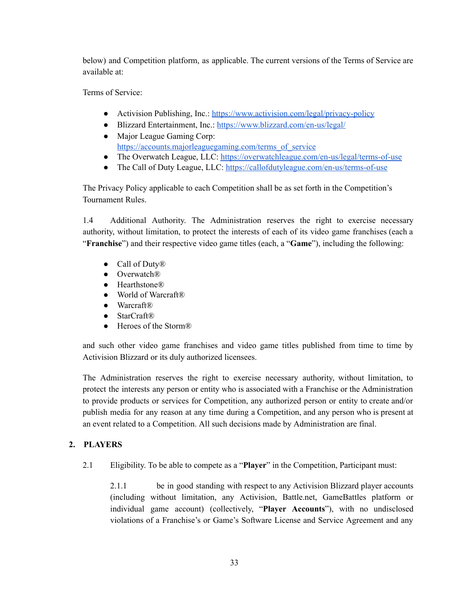below) and Competition platform, as applicable. The current versions of the Terms of Service are available at:

Terms of Service:

- Activision Publishing, Inc.: <https://www.activision.com/legal/privacy-policy>
- Blizzard Entertainment, Inc.: <https://www.blizzard.com/en-us/legal/> • Major League Gaming Corp:
- [https://accounts.majorleaguegaming.com/terms\\_of\\_service](https://accounts.majorleaguegaming.com/terms_of_service)
- The Overwatch League, LLC: <https://overwatchleague.com/en-us/legal/terms-of-use>
- The Call of Duty League, LLC: <https://callofdutyleague.com/en-us/terms-of-use>

The Privacy Policy applicable to each Competition shall be as set forth in the Competition's Tournament Rules.

1.4 Additional Authority. The Administration reserves the right to exercise necessary authority, without limitation, to protect the interests of each of its video game franchises (each a "**Franchise**") and their respective video game titles (each, a "**Game**"), including the following:

- Call of Duty<sup>®</sup>
- Overwatch®
- Hearthstone®
- World of Warcraft®
- Warcraft®
- StarCraft®
- Heroes of the Storm<sup>®</sup>

and such other video game franchises and video game titles published from time to time by Activision Blizzard or its duly authorized licensees.

The Administration reserves the right to exercise necessary authority, without limitation, to protect the interests any person or entity who is associated with a Franchise or the Administration to provide products or services for Competition, any authorized person or entity to create and/or publish media for any reason at any time during a Competition, and any person who is present at an event related to a Competition. All such decisions made by Administration are final.

### **2. PLAYERS**

2.1 Eligibility. To be able to compete as a "**Player**" in the Competition, Participant must:

2.1.1 be in good standing with respect to any Activision Blizzard player accounts (including without limitation, any Activision, Battle.net, GameBattles platform or individual game account) (collectively, "**Player Accounts**"), with no undisclosed violations of a Franchise's or Game's Software License and Service Agreement and any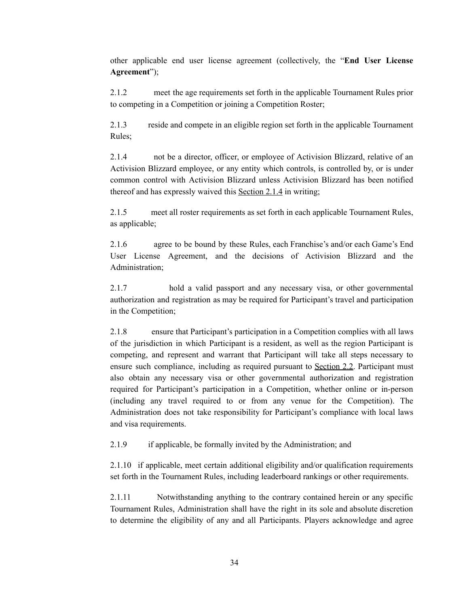other applicable end user license agreement (collectively, the "**End User License Agreement**");

2.1.2 meet the age requirements set forth in the applicable Tournament Rules prior to competing in a Competition or joining a Competition Roster;

2.1.3 reside and compete in an eligible region set forth in the applicable Tournament Rules;

2.1.4 not be a director, officer, or employee of Activision Blizzard, relative of an Activision Blizzard employee, or any entity which controls, is controlled by, or is under common control with Activision Blizzard unless Activision Blizzard has been notified thereof and has expressly waived this Section 2.1.4 in writing;

2.1.5 meet all roster requirements as set forth in each applicable Tournament Rules, as applicable;

2.1.6 agree to be bound by these Rules, each Franchise's and/or each Game's End User License Agreement, and the decisions of Activision Blizzard and the Administration;

2.1.7 hold a valid passport and any necessary visa, or other governmental authorization and registration as may be required for Participant's travel and participation in the Competition;

2.1.8 ensure that Participant's participation in a Competition complies with all laws of the jurisdiction in which Participant is a resident, as well as the region Participant is competing, and represent and warrant that Participant will take all steps necessary to ensure such compliance, including as required pursuant to Section 2.2. Participant must also obtain any necessary visa or other governmental authorization and registration required for Participant's participation in a Competition, whether online or in-person (including any travel required to or from any venue for the Competition). The Administration does not take responsibility for Participant's compliance with local laws and visa requirements.

2.1.9 if applicable, be formally invited by the Administration; and

2.1.10 if applicable, meet certain additional eligibility and/or qualification requirements set forth in the Tournament Rules, including leaderboard rankings or other requirements.

2.1.11 Notwithstanding anything to the contrary contained herein or any specific Tournament Rules, Administration shall have the right in its sole and absolute discretion to determine the eligibility of any and all Participants. Players acknowledge and agree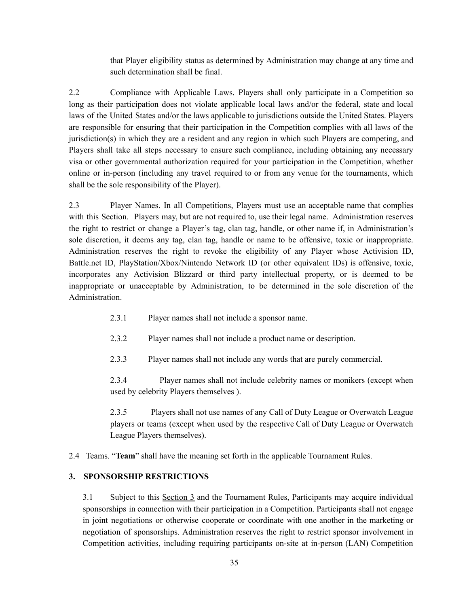that Player eligibility status as determined by Administration may change at any time and such determination shall be final.

2.2 Compliance with Applicable Laws. Players shall only participate in a Competition so long as their participation does not violate applicable local laws and/or the federal, state and local laws of the United States and/or the laws applicable to jurisdictions outside the United States. Players are responsible for ensuring that their participation in the Competition complies with all laws of the jurisdiction(s) in which they are a resident and any region in which such Players are competing, and Players shall take all steps necessary to ensure such compliance, including obtaining any necessary visa or other governmental authorization required for your participation in the Competition, whether online or in-person (including any travel required to or from any venue for the tournaments, which shall be the sole responsibility of the Player).

2.3 Player Names. In all Competitions, Players must use an acceptable name that complies with this Section. Players may, but are not required to, use their legal name. Administration reserves the right to restrict or change a Player's tag, clan tag, handle, or other name if, in Administration's sole discretion, it deems any tag, clan tag, handle or name to be offensive, toxic or inappropriate. Administration reserves the right to revoke the eligibility of any Player whose Activision ID, Battle.net ID, PlayStation/Xbox/Nintendo Network ID (or other equivalent IDs) is offensive, toxic, incorporates any Activision Blizzard or third party intellectual property, or is deemed to be inappropriate or unacceptable by Administration, to be determined in the sole discretion of the Administration.

- 2.3.1 Player names shall not include a sponsor name.
- 2.3.2 Player names shall not include a product name or description.
- 2.3.3 Player names shall not include any words that are purely commercial.

2.3.4 Player names shall not include celebrity names or monikers (except when used by celebrity Players themselves ).

2.3.5 Players shall not use names of any Call of Duty League or Overwatch League players or teams (except when used by the respective Call of Duty League or Overwatch League Players themselves).

2.4 Teams. "**Team**" shall have the meaning set forth in the applicable Tournament Rules.

#### **3. SPONSORSHIP RESTRICTIONS**

3.1 Subject to this Section 3 and the Tournament Rules, Participants may acquire individual sponsorships in connection with their participation in a Competition. Participants shall not engage in joint negotiations or otherwise cooperate or coordinate with one another in the marketing or negotiation of sponsorships. Administration reserves the right to restrict sponsor involvement in Competition activities, including requiring participants on-site at in-person (LAN) Competition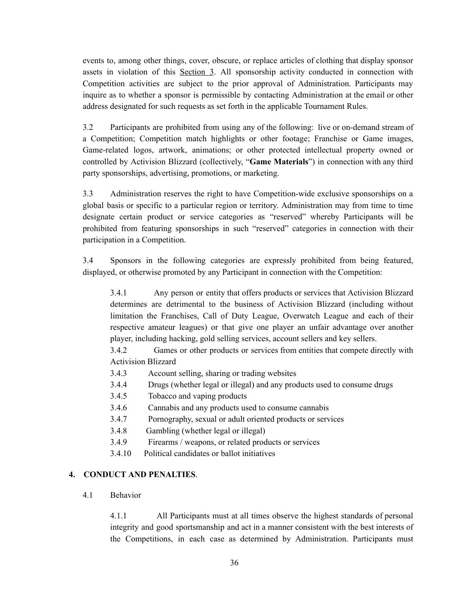events to, among other things, cover, obscure, or replace articles of clothing that display sponsor assets in violation of this Section 3. All sponsorship activity conducted in connection with Competition activities are subject to the prior approval of Administration. Participants may inquire as to whether a sponsor is permissible by contacting Administration at the email or other address designated for such requests as set forth in the applicable Tournament Rules.

3.2 Participants are prohibited from using any of the following: live or on-demand stream of a Competition; Competition match highlights or other footage; Franchise or Game images, Game-related logos, artwork, animations; or other protected intellectual property owned or controlled by Activision Blizzard (collectively, "**Game Materials**") in connection with any third party sponsorships, advertising, promotions, or marketing.

3.3 Administration reserves the right to have Competition-wide exclusive sponsorships on a global basis or specific to a particular region or territory. Administration may from time to time designate certain product or service categories as "reserved" whereby Participants will be prohibited from featuring sponsorships in such "reserved" categories in connection with their participation in a Competition.

3.4 Sponsors in the following categories are expressly prohibited from being featured, displayed, or otherwise promoted by any Participant in connection with the Competition:

3.4.1 Any person or entity that offers products or services that Activision Blizzard determines are detrimental to the business of Activision Blizzard (including without limitation the Franchises, Call of Duty League, Overwatch League and each of their respective amateur leagues) or that give one player an unfair advantage over another player, including hacking, gold selling services, account sellers and key sellers.

3.4.2 Games or other products or services from entities that compete directly with Activision Blizzard

- 3.4.3 Account selling, sharing or trading websites
- 3.4.4 Drugs (whether legal or illegal) and any products used to consume drugs
- 3.4.5 Tobacco and vaping products
- 3.4.6 Cannabis and any products used to consume cannabis
- 3.4.7 Pornography, sexual or adult oriented products or services
- 3.4.8 Gambling (whether legal or illegal)
- 3.4.9 Firearms / weapons, or related products or services
- 3.4.10 Political candidates or ballot initiatives

#### **4. CONDUCT AND PENALTIES**.

4.1 Behavior

4.1.1 All Participants must at all times observe the highest standards of personal integrity and good sportsmanship and act in a manner consistent with the best interests of the Competitions, in each case as determined by Administration. Participants must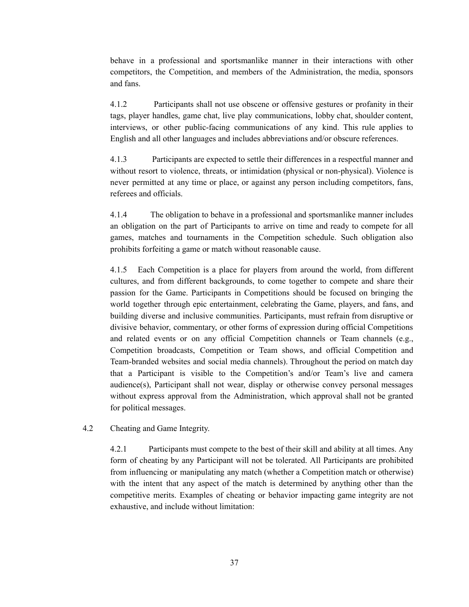behave in a professional and sportsmanlike manner in their interactions with other competitors, the Competition, and members of the Administration, the media, sponsors and fans.

4.1.2 Participants shall not use obscene or offensive gestures or profanity in their tags, player handles, game chat, live play communications, lobby chat, shoulder content, interviews, or other public-facing communications of any kind. This rule applies to English and all other languages and includes abbreviations and/or obscure references.

4.1.3 Participants are expected to settle their differences in a respectful manner and without resort to violence, threats, or intimidation (physical or non-physical). Violence is never permitted at any time or place, or against any person including competitors, fans, referees and officials.

4.1.4 The obligation to behave in a professional and sportsmanlike manner includes an obligation on the part of Participants to arrive on time and ready to compete for all games, matches and tournaments in the Competition schedule. Such obligation also prohibits forfeiting a game or match without reasonable cause.

4.1.5 Each Competition is a place for players from around the world, from different cultures, and from different backgrounds, to come together to compete and share their passion for the Game. Participants in Competitions should be focused on bringing the world together through epic entertainment, celebrating the Game, players, and fans, and building diverse and inclusive communities. Participants, must refrain from disruptive or divisive behavior, commentary, or other forms of expression during official Competitions and related events or on any official Competition channels or Team channels (e.g., Competition broadcasts, Competition or Team shows, and official Competition and Team-branded websites and social media channels). Throughout the period on match day that a Participant is visible to the Competition's and/or Team's live and camera audience(s), Participant shall not wear, display or otherwise convey personal messages without express approval from the Administration, which approval shall not be granted for political messages.

4.2 Cheating and Game Integrity.

4.2.1 Participants must compete to the best of their skill and ability at all times. Any form of cheating by any Participant will not be tolerated. All Participants are prohibited from influencing or manipulating any match (whether a Competition match or otherwise) with the intent that any aspect of the match is determined by anything other than the competitive merits. Examples of cheating or behavior impacting game integrity are not exhaustive, and include without limitation: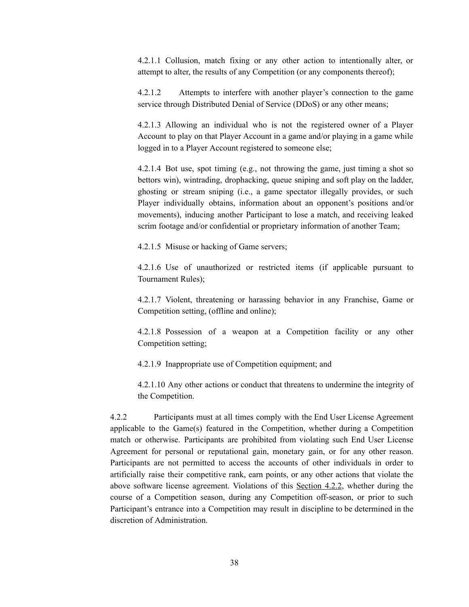4.2.1.1 Collusion, match fixing or any other action to intentionally alter, or attempt to alter, the results of any Competition (or any components thereof);

4.2.1.2 Attempts to interfere with another player's connection to the game service through Distributed Denial of Service (DDoS) or any other means;

4.2.1.3 Allowing an individual who is not the registered owner of a Player Account to play on that Player Account in a game and/or playing in a game while logged in to a Player Account registered to someone else;

4.2.1.4 Bot use, spot timing (e.g., not throwing the game, just timing a shot so bettors win), wintrading, drophacking, queue sniping and soft play on the ladder, ghosting or stream sniping (i.e., a game spectator illegally provides, or such Player individually obtains, information about an opponent's positions and/or movements), inducing another Participant to lose a match, and receiving leaked scrim footage and/or confidential or proprietary information of another Team;

4.2.1.5 Misuse or hacking of Game servers;

4.2.1.6 Use of unauthorized or restricted items (if applicable pursuant to Tournament Rules);

4.2.1.7 Violent, threatening or harassing behavior in any Franchise, Game or Competition setting, (offline and online);

4.2.1.8 Possession of a weapon at a Competition facility or any other Competition setting;

4.2.1.9 Inappropriate use of Competition equipment; and

4.2.1.10 Any other actions or conduct that threatens to undermine the integrity of the Competition.

4.2.2 Participants must at all times comply with the End User License Agreement applicable to the Game(s) featured in the Competition, whether during a Competition match or otherwise. Participants are prohibited from violating such End User License Agreement for personal or reputational gain, monetary gain, or for any other reason. Participants are not permitted to access the accounts of other individuals in order to artificially raise their competitive rank, earn points, or any other actions that violate the above software license agreement. Violations of this Section 4.2.2, whether during the course of a Competition season, during any Competition off-season, or prior to such Participant's entrance into a Competition may result in discipline to be determined in the discretion of Administration.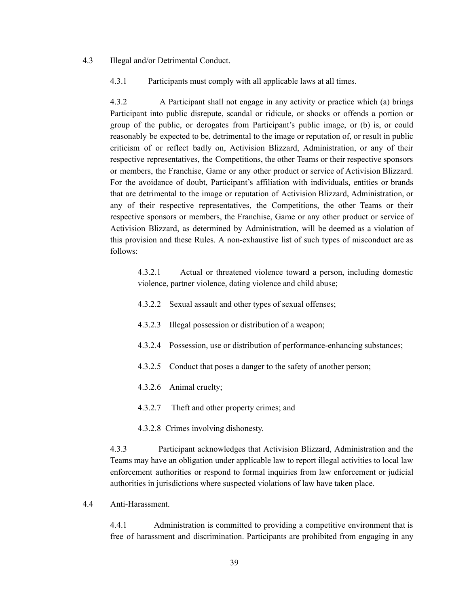#### 4.3 Illegal and/or Detrimental Conduct.

4.3.1 Participants must comply with all applicable laws at all times.

4.3.2 A Participant shall not engage in any activity or practice which (a) brings Participant into public disrepute, scandal or ridicule, or shocks or offends a portion or group of the public, or derogates from Participant's public image, or (b) is, or could reasonably be expected to be, detrimental to the image or reputation of, or result in public criticism of or reflect badly on, Activision Blizzard, Administration, or any of their respective representatives, the Competitions, the other Teams or their respective sponsors or members, the Franchise, Game or any other product or service of Activision Blizzard. For the avoidance of doubt, Participant's affiliation with individuals, entities or brands that are detrimental to the image or reputation of Activision Blizzard, Administration, or any of their respective representatives, the Competitions, the other Teams or their respective sponsors or members, the Franchise, Game or any other product or service of Activision Blizzard, as determined by Administration, will be deemed as a violation of this provision and these Rules. A non-exhaustive list of such types of misconduct are as follows:

4.3.2.1 Actual or threatened violence toward a person, including domestic violence, partner violence, dating violence and child abuse;

- 4.3.2.2 Sexual assault and other types of sexual offenses;
- 4.3.2.3 Illegal possession or distribution of a weapon;
- 4.3.2.4 Possession, use or distribution of performance-enhancing substances;
- 4.3.2.5 Conduct that poses a danger to the safety of another person;
- 4.3.2.6 Animal cruelty;
- 4.3.2.7 Theft and other property crimes; and
- 4.3.2.8 Crimes involving dishonesty.

4.3.3 Participant acknowledges that Activision Blizzard, Administration and the Teams may have an obligation under applicable law to report illegal activities to local law enforcement authorities or respond to formal inquiries from law enforcement or judicial authorities in jurisdictions where suspected violations of law have taken place.

4.4 Anti-Harassment.

4.4.1 Administration is committed to providing a competitive environment that is free of harassment and discrimination. Participants are prohibited from engaging in any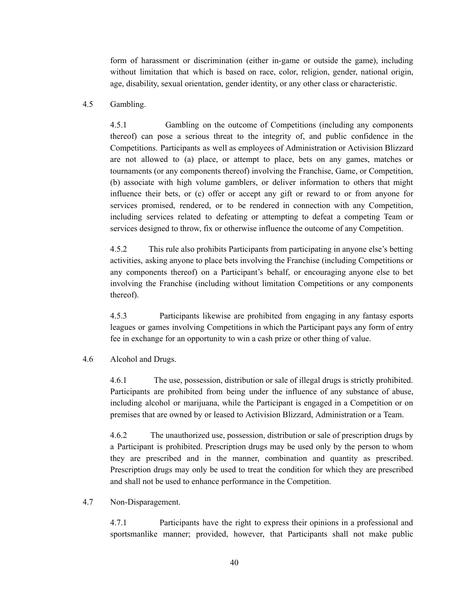form of harassment or discrimination (either in-game or outside the game), including without limitation that which is based on race, color, religion, gender, national origin, age, disability, sexual orientation, gender identity, or any other class or characteristic.

#### 4.5 Gambling.

4.5.1 Gambling on the outcome of Competitions (including any components thereof) can pose a serious threat to the integrity of, and public confidence in the Competitions. Participants as well as employees of Administration or Activision Blizzard are not allowed to (a) place, or attempt to place, bets on any games, matches or tournaments (or any components thereof) involving the Franchise, Game, or Competition, (b) associate with high volume gamblers, or deliver information to others that might influence their bets, or (c) offer or accept any gift or reward to or from anyone for services promised, rendered, or to be rendered in connection with any Competition, including services related to defeating or attempting to defeat a competing Team or services designed to throw, fix or otherwise influence the outcome of any Competition.

4.5.2 This rule also prohibits Participants from participating in anyone else's betting activities, asking anyone to place bets involving the Franchise (including Competitions or any components thereof) on a Participant's behalf, or encouraging anyone else to bet involving the Franchise (including without limitation Competitions or any components thereof).

4.5.3 Participants likewise are prohibited from engaging in any fantasy esports leagues or games involving Competitions in which the Participant pays any form of entry fee in exchange for an opportunity to win a cash prize or other thing of value.

#### 4.6 Alcohol and Drugs.

4.6.1 The use, possession, distribution or sale of illegal drugs is strictly prohibited. Participants are prohibited from being under the influence of any substance of abuse, including alcohol or marijuana, while the Participant is engaged in a Competition or on premises that are owned by or leased to Activision Blizzard, Administration or a Team.

4.6.2 The unauthorized use, possession, distribution or sale of prescription drugs by a Participant is prohibited. Prescription drugs may be used only by the person to whom they are prescribed and in the manner, combination and quantity as prescribed. Prescription drugs may only be used to treat the condition for which they are prescribed and shall not be used to enhance performance in the Competition.

#### 4.7 Non-Disparagement.

4.7.1 Participants have the right to express their opinions in a professional and sportsmanlike manner; provided, however, that Participants shall not make public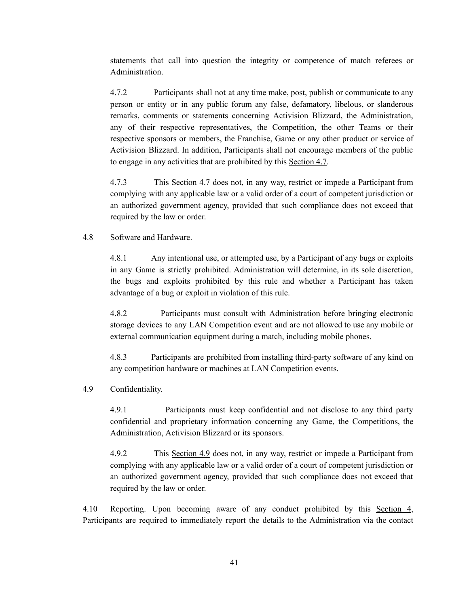statements that call into question the integrity or competence of match referees or Administration.

4.7.2 Participants shall not at any time make, post, publish or communicate to any person or entity or in any public forum any false, defamatory, libelous, or slanderous remarks, comments or statements concerning Activision Blizzard, the Administration, any of their respective representatives, the Competition, the other Teams or their respective sponsors or members, the Franchise, Game or any other product or service of Activision Blizzard. In addition, Participants shall not encourage members of the public to engage in any activities that are prohibited by this Section 4.7.

4.7.3 This Section 4.7 does not, in any way, restrict or impede a Participant from complying with any applicable law or a valid order of a court of competent jurisdiction or an authorized government agency, provided that such compliance does not exceed that required by the law or order.

#### 4.8 Software and Hardware.

4.8.1 Any intentional use, or attempted use, by a Participant of any bugs or exploits in any Game is strictly prohibited. Administration will determine, in its sole discretion, the bugs and exploits prohibited by this rule and whether a Participant has taken advantage of a bug or exploit in violation of this rule.

4.8.2 Participants must consult with Administration before bringing electronic storage devices to any LAN Competition event and are not allowed to use any mobile or external communication equipment during a match, including mobile phones.

4.8.3 Participants are prohibited from installing third-party software of any kind on any competition hardware or machines at LAN Competition events.

#### 4.9 Confidentiality.

4.9.1 Participants must keep confidential and not disclose to any third party confidential and proprietary information concerning any Game, the Competitions, the Administration, Activision Blizzard or its sponsors.

4.9.2 This Section 4.9 does not, in any way, restrict or impede a Participant from complying with any applicable law or a valid order of a court of competent jurisdiction or an authorized government agency, provided that such compliance does not exceed that required by the law or order.

4.10 Reporting. Upon becoming aware of any conduct prohibited by this Section 4, Participants are required to immediately report the details to the Administration via the contact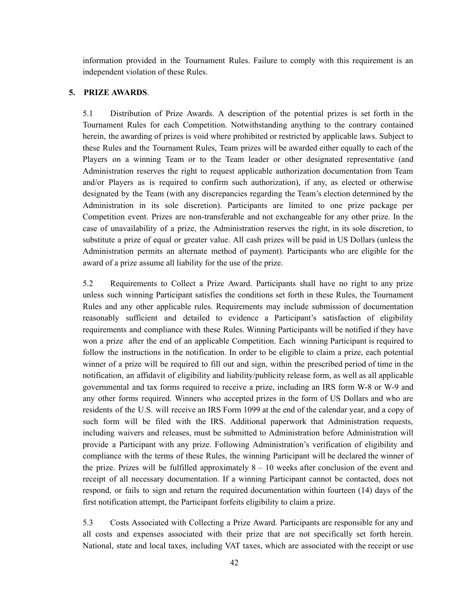information provided in the Tournament Rules. Failure to comply with this requirement is an independent violation of these Rules.

#### **5. PRIZE AWARDS**.

5.1 Distribution of Prize Awards. A description of the potential prizes is set forth in the Tournament Rules for each Competition. Notwithstanding anything to the contrary contained herein, the awarding of prizes is void where prohibited or restricted by applicable laws. Subject to these Rules and the Tournament Rules, Team prizes will be awarded either equally to each of the Players on a winning Team or to the Team leader or other designated representative (and Administration reserves the right to request applicable authorization documentation from Team and/or Players as is required to confirm such authorization), if any, as elected or otherwise designated by the Team (with any discrepancies regarding the Team's election determined by the Administration in its sole discretion). Participants are limited to one prize package per Competition event. Prizes are non-transferable and not exchangeable for any other prize. In the case of unavailability of a prize, the Administration reserves the right, in its sole discretion, to substitute a prize of equal or greater value. All cash prizes will be paid in US Dollars (unless the Administration permits an alternate method of payment). Participants who are eligible for the award of a prize assume all liability for the use of the prize.

5.2 Requirements to Collect a Prize Award. Participants shall have no right to any prize unless such winning Participant satisfies the conditions set forth in these Rules, the Tournament Rules and any other applicable rules. Requirements may include submission of documentation reasonably sufficient and detailed to evidence a Participant's satisfaction of eligibility requirements and compliance with these Rules. Winning Participants will be notified if they have won a prize after the end of an applicable Competition. Each winning Participant is required to follow the instructions in the notification. In order to be eligible to claim a prize, each potential winner of a prize will be required to fill out and sign, within the prescribed period of time in the notification, an affidavit of eligibility and liability/publicity release form, as well as all applicable governmental and tax forms required to receive a prize, including an IRS form W-8 or W-9 and any other forms required. Winners who accepted prizes in the form of US Dollars and who are residents of the U.S. will receive an IRS Form 1099 at the end of the calendar year, and a copy of such form will be filed with the IRS. Additional paperwork that Administration requests, including waivers and releases, must be submitted to Administration before Administration will provide a Participant with any prize. Following Administration's verification of eligibility and compliance with the terms of these Rules, the winning Participant will be declared the winner of the prize. Prizes will be fulfilled approximately  $8 - 10$  weeks after conclusion of the event and receipt of all necessary documentation. If a winning Participant cannot be contacted, does not respond, or fails to sign and return the required documentation within fourteen (14) days of the first notification attempt, the Participant forfeits eligibility to claim a prize.

5.3 Costs Associated with Collecting a Prize Award. Participants are responsible for any and all costs and expenses associated with their prize that are not specifically set forth herein. National, state and local taxes, including VAT taxes, which are associated with the receipt or use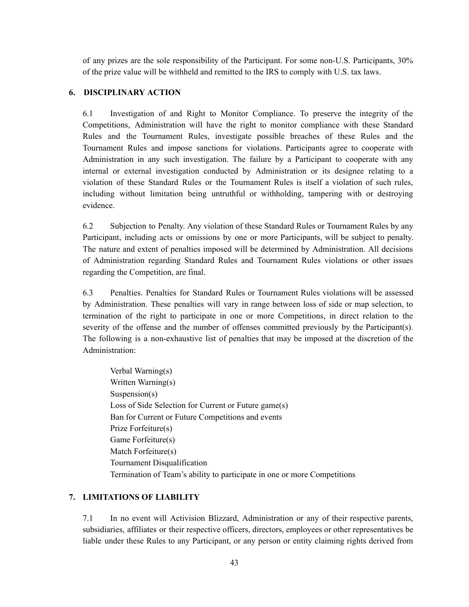of any prizes are the sole responsibility of the Participant. For some non-U.S. Participants, 30% of the prize value will be withheld and remitted to the IRS to comply with U.S. tax laws.

#### **6. DISCIPLINARY ACTION**

6.1 Investigation of and Right to Monitor Compliance. To preserve the integrity of the Competitions, Administration will have the right to monitor compliance with these Standard Rules and the Tournament Rules, investigate possible breaches of these Rules and the Tournament Rules and impose sanctions for violations. Participants agree to cooperate with Administration in any such investigation. The failure by a Participant to cooperate with any internal or external investigation conducted by Administration or its designee relating to a violation of these Standard Rules or the Tournament Rules is itself a violation of such rules, including without limitation being untruthful or withholding, tampering with or destroying evidence.

6.2 Subjection to Penalty. Any violation of these Standard Rules or Tournament Rules by any Participant, including acts or omissions by one or more Participants, will be subject to penalty. The nature and extent of penalties imposed will be determined by Administration. All decisions of Administration regarding Standard Rules and Tournament Rules violations or other issues regarding the Competition, are final.

6.3 Penalties. Penalties for Standard Rules or Tournament Rules violations will be assessed by Administration. These penalties will vary in range between loss of side or map selection, to termination of the right to participate in one or more Competitions, in direct relation to the severity of the offense and the number of offenses committed previously by the Participant(s). The following is a non-exhaustive list of penalties that may be imposed at the discretion of the Administration:

Verbal Warning(s) Written Warning(s) Suspension(s) Loss of Side Selection for Current or Future game(s) Ban for Current or Future Competitions and events Prize Forfeiture(s) Game Forfeiture(s) Match Forfeiture(s) Tournament Disqualification Termination of Team's ability to participate in one or more Competitions

#### **7. LIMITATIONS OF LIABILITY**

7.1 In no event will Activision Blizzard, Administration or any of their respective parents, subsidiaries, affiliates or their respective officers, directors, employees or other representatives be liable under these Rules to any Participant, or any person or entity claiming rights derived from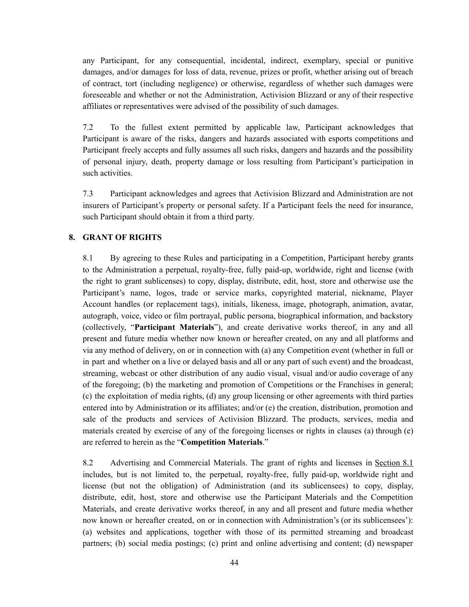any Participant, for any consequential, incidental, indirect, exemplary, special or punitive damages, and/or damages for loss of data, revenue, prizes or profit, whether arising out of breach of contract, tort (including negligence) or otherwise, regardless of whether such damages were foreseeable and whether or not the Administration, Activision Blizzard or any of their respective affiliates or representatives were advised of the possibility of such damages.

7.2 To the fullest extent permitted by applicable law, Participant acknowledges that Participant is aware of the risks, dangers and hazards associated with esports competitions and Participant freely accepts and fully assumes all such risks, dangers and hazards and the possibility of personal injury, death, property damage or loss resulting from Participant's participation in such activities.

7.3 Participant acknowledges and agrees that Activision Blizzard and Administration are not insurers of Participant's property or personal safety. If a Participant feels the need for insurance, such Participant should obtain it from a third party.

#### **8. GRANT OF RIGHTS**

8.1 By agreeing to these Rules and participating in a Competition, Participant hereby grants to the Administration a perpetual, royalty-free, fully paid-up, worldwide, right and license (with the right to grant sublicenses) to copy, display, distribute, edit, host, store and otherwise use the Participant's name, logos, trade or service marks, copyrighted material, nickname, Player Account handles (or replacement tags), initials, likeness, image, photograph, animation, avatar, autograph, voice, video or film portrayal, public persona, biographical information, and backstory (collectively, "**Participant Materials**"), and create derivative works thereof, in any and all present and future media whether now known or hereafter created, on any and all platforms and via any method of delivery, on or in connection with (a) any Competition event (whether in full or in part and whether on a live or delayed basis and all or any part of such event) and the broadcast, streaming, webcast or other distribution of any audio visual, visual and/or audio coverage of any of the foregoing; (b) the marketing and promotion of Competitions or the Franchises in general; (c) the exploitation of media rights, (d) any group licensing or other agreements with third parties entered into by Administration or its affiliates; and/or (e) the creation, distribution, promotion and sale of the products and services of Activision Blizzard. The products, services, media and materials created by exercise of any of the foregoing licenses or rights in clauses (a) through (e) are referred to herein as the "**Competition Materials**."

8.2 Advertising and Commercial Materials. The grant of rights and licenses in Section 8.1 includes, but is not limited to, the perpetual, royalty-free, fully paid-up, worldwide right and license (but not the obligation) of Administration (and its sublicensees) to copy, display, distribute, edit, host, store and otherwise use the Participant Materials and the Competition Materials, and create derivative works thereof, in any and all present and future media whether now known or hereafter created, on or in connection with Administration's (or its sublicensees'): (a) websites and applications, together with those of its permitted streaming and broadcast partners; (b) social media postings; (c) print and online advertising and content; (d) newspaper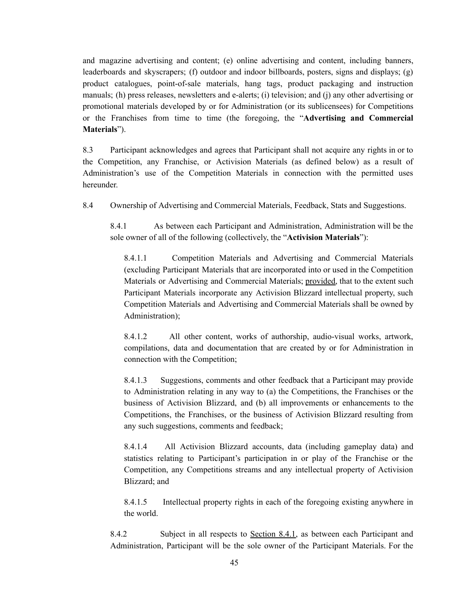and magazine advertising and content; (e) online advertising and content, including banners, leaderboards and skyscrapers; (f) outdoor and indoor billboards, posters, signs and displays; (g) product catalogues, point-of-sale materials, hang tags, product packaging and instruction manuals; (h) press releases, newsletters and e-alerts; (i) television; and (j) any other advertising or promotional materials developed by or for Administration (or its sublicensees) for Competitions or the Franchises from time to time (the foregoing, the "**Advertising and Commercial Materials**").

8.3 Participant acknowledges and agrees that Participant shall not acquire any rights in or to the Competition, any Franchise, or Activision Materials (as defined below) as a result of Administration's use of the Competition Materials in connection with the permitted uses hereunder.

8.4 Ownership of Advertising and Commercial Materials, Feedback, Stats and Suggestions.

8.4.1 As between each Participant and Administration, Administration will be the sole owner of all of the following (collectively, the "**Activision Materials**"):

8.4.1.1 Competition Materials and Advertising and Commercial Materials (excluding Participant Materials that are incorporated into or used in the Competition Materials or Advertising and Commercial Materials; provided, that to the extent such Participant Materials incorporate any Activision Blizzard intellectual property, such Competition Materials and Advertising and Commercial Materials shall be owned by Administration);

8.4.1.2 All other content, works of authorship, audio-visual works, artwork, compilations, data and documentation that are created by or for Administration in connection with the Competition;

8.4.1.3 Suggestions, comments and other feedback that a Participant may provide to Administration relating in any way to (a) the Competitions, the Franchises or the business of Activision Blizzard, and (b) all improvements or enhancements to the Competitions, the Franchises, or the business of Activision Blizzard resulting from any such suggestions, comments and feedback;

8.4.1.4 All Activision Blizzard accounts, data (including gameplay data) and statistics relating to Participant's participation in or play of the Franchise or the Competition, any Competitions streams and any intellectual property of Activision Blizzard; and

8.4.1.5 Intellectual property rights in each of the foregoing existing anywhere in the world.

8.4.2 Subject in all respects to Section 8.4.1, as between each Participant and Administration, Participant will be the sole owner of the Participant Materials. For the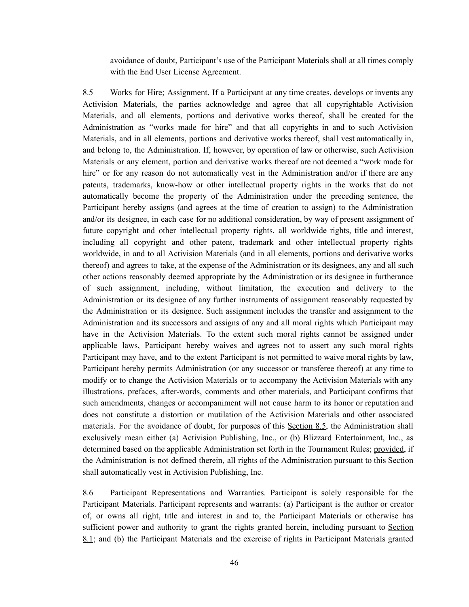avoidance of doubt, Participant's use of the Participant Materials shall at all times comply with the End User License Agreement.

8.5 Works for Hire; Assignment. If a Participant at any time creates, develops or invents any Activision Materials, the parties acknowledge and agree that all copyrightable Activision Materials, and all elements, portions and derivative works thereof, shall be created for the Administration as "works made for hire" and that all copyrights in and to such Activision Materials, and in all elements, portions and derivative works thereof, shall vest automatically in, and belong to, the Administration. If, however, by operation of law or otherwise, such Activision Materials or any element, portion and derivative works thereof are not deemed a "work made for hire" or for any reason do not automatically vest in the Administration and/or if there are any patents, trademarks, know-how or other intellectual property rights in the works that do not automatically become the property of the Administration under the preceding sentence, the Participant hereby assigns (and agrees at the time of creation to assign) to the Administration and/or its designee, in each case for no additional consideration, by way of present assignment of future copyright and other intellectual property rights, all worldwide rights, title and interest, including all copyright and other patent, trademark and other intellectual property rights worldwide, in and to all Activision Materials (and in all elements, portions and derivative works thereof) and agrees to take, at the expense of the Administration or its designees, any and all such other actions reasonably deemed appropriate by the Administration or its designee in furtherance of such assignment, including, without limitation, the execution and delivery to the Administration or its designee of any further instruments of assignment reasonably requested by the Administration or its designee. Such assignment includes the transfer and assignment to the Administration and its successors and assigns of any and all moral rights which Participant may have in the Activision Materials. To the extent such moral rights cannot be assigned under applicable laws, Participant hereby waives and agrees not to assert any such moral rights Participant may have, and to the extent Participant is not permitted to waive moral rights by law, Participant hereby permits Administration (or any successor or transferee thereof) at any time to modify or to change the Activision Materials or to accompany the Activision Materials with any illustrations, prefaces, after-words, comments and other materials, and Participant confirms that such amendments, changes or accompaniment will not cause harm to its honor or reputation and does not constitute a distortion or mutilation of the Activision Materials and other associated materials. For the avoidance of doubt, for purposes of this Section 8.5, the Administration shall exclusively mean either (a) Activision Publishing, Inc., or (b) Blizzard Entertainment, Inc., as determined based on the applicable Administration set forth in the Tournament Rules; provided, if the Administration is not defined therein, all rights of the Administration pursuant to this Section shall automatically vest in Activision Publishing, Inc.

8.6 Participant Representations and Warranties. Participant is solely responsible for the Participant Materials. Participant represents and warrants: (a) Participant is the author or creator of, or owns all right, title and interest in and to, the Participant Materials or otherwise has sufficient power and authority to grant the rights granted herein, including pursuant to Section 8.1; and (b) the Participant Materials and the exercise of rights in Participant Materials granted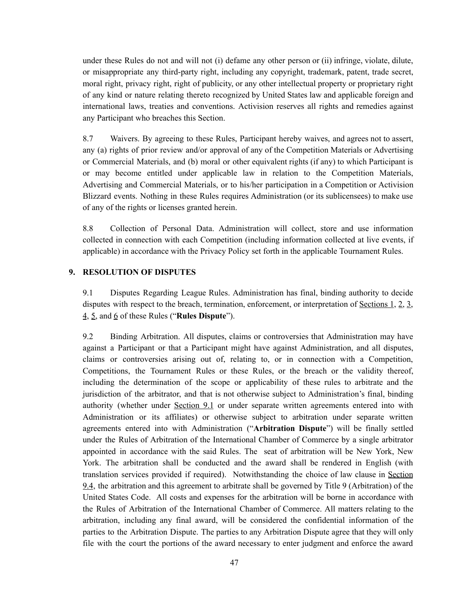under these Rules do not and will not (i) defame any other person or (ii) infringe, violate, dilute, or misappropriate any third-party right, including any copyright, trademark, patent, trade secret, moral right, privacy right, right of publicity, or any other intellectual property or proprietary right of any kind or nature relating thereto recognized by United States law and applicable foreign and international laws, treaties and conventions. Activision reserves all rights and remedies against any Participant who breaches this Section.

8.7 Waivers. By agreeing to these Rules, Participant hereby waives, and agrees not to assert, any (a) rights of prior review and/or approval of any of the Competition Materials or Advertising or Commercial Materials, and (b) moral or other equivalent rights (if any) to which Participant is or may become entitled under applicable law in relation to the Competition Materials, Advertising and Commercial Materials, or to his/her participation in a Competition or Activision Blizzard events. Nothing in these Rules requires Administration (or its sublicensees) to make use of any of the rights or licenses granted herein.

8.8 Collection of Personal Data. Administration will collect, store and use information collected in connection with each Competition (including information collected at live events, if applicable) in accordance with the Privacy Policy set forth in the applicable Tournament Rules.

#### **9. RESOLUTION OF DISPUTES**

9.1 Disputes Regarding League Rules. Administration has final, binding authority to decide disputes with respect to the breach, termination, enforcement, or interpretation of Sections 1, 2, 3, 4, 5, and 6 of these Rules ("**Rules Dispute**").

9.2 Binding Arbitration. All disputes, claims or controversies that Administration may have against a Participant or that a Participant might have against Administration, and all disputes, claims or controversies arising out of, relating to, or in connection with a Competition, Competitions, the Tournament Rules or these Rules, or the breach or the validity thereof, including the determination of the scope or applicability of these rules to arbitrate and the jurisdiction of the arbitrator, and that is not otherwise subject to Administration's final, binding authority (whether under Section 9.1 or under separate written agreements entered into with Administration or its affiliates) or otherwise subject to arbitration under separate written agreements entered into with Administration ("**Arbitration Dispute**") will be finally settled under the Rules of Arbitration of the International Chamber of Commerce by a single arbitrator appointed in accordance with the said Rules. The seat of arbitration will be New York, New York. The arbitration shall be conducted and the award shall be rendered in English (with translation services provided if required). Notwithstanding the choice of law clause in Section 9.4, the arbitration and this agreement to arbitrate shall be governed by Title 9 (Arbitration) of the United States Code. All costs and expenses for the arbitration will be borne in accordance with the Rules of Arbitration of the International Chamber of Commerce. All matters relating to the arbitration, including any final award, will be considered the confidential information of the parties to the Arbitration Dispute. The parties to any Arbitration Dispute agree that they will only file with the court the portions of the award necessary to enter judgment and enforce the award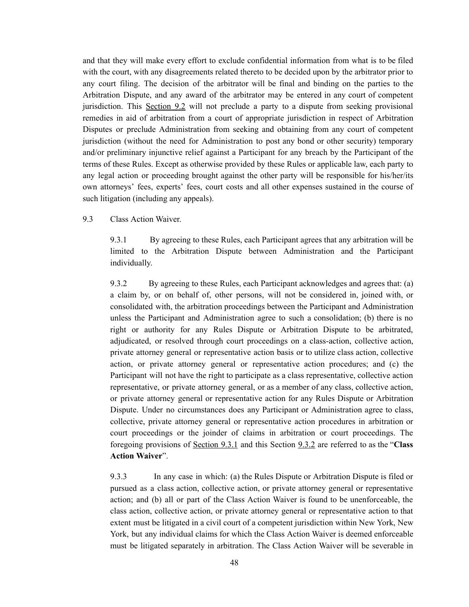and that they will make every effort to exclude confidential information from what is to be filed with the court, with any disagreements related thereto to be decided upon by the arbitrator prior to any court filing. The decision of the arbitrator will be final and binding on the parties to the Arbitration Dispute, and any award of the arbitrator may be entered in any court of competent jurisdiction. This Section 9.2 will not preclude a party to a dispute from seeking provisional remedies in aid of arbitration from a court of appropriate jurisdiction in respect of Arbitration Disputes or preclude Administration from seeking and obtaining from any court of competent jurisdiction (without the need for Administration to post any bond or other security) temporary and/or preliminary injunctive relief against a Participant for any breach by the Participant of the terms of these Rules. Except as otherwise provided by these Rules or applicable law, each party to any legal action or proceeding brought against the other party will be responsible for his/her/its own attorneys' fees, experts' fees, court costs and all other expenses sustained in the course of such litigation (including any appeals).

#### 9.3 Class Action Waiver.

9.3.1 By agreeing to these Rules, each Participant agrees that any arbitration will be limited to the Arbitration Dispute between Administration and the Participant individually.

9.3.2 By agreeing to these Rules, each Participant acknowledges and agrees that: (a) a claim by, or on behalf of, other persons, will not be considered in, joined with, or consolidated with, the arbitration proceedings between the Participant and Administration unless the Participant and Administration agree to such a consolidation; (b) there is no right or authority for any Rules Dispute or Arbitration Dispute to be arbitrated, adjudicated, or resolved through court proceedings on a class-action, collective action, private attorney general or representative action basis or to utilize class action, collective action, or private attorney general or representative action procedures; and (c) the Participant will not have the right to participate as a class representative, collective action representative, or private attorney general, or as a member of any class, collective action, or private attorney general or representative action for any Rules Dispute or Arbitration Dispute. Under no circumstances does any Participant or Administration agree to class, collective, private attorney general or representative action procedures in arbitration or court proceedings or the joinder of claims in arbitration or court proceedings. The foregoing provisions of Section 9.3.1 and this Section 9.3.2 are referred to as the "**Class Action Waiver**".

9.3.3 In any case in which: (a) the Rules Dispute or Arbitration Dispute is filed or pursued as a class action, collective action, or private attorney general or representative action; and (b) all or part of the Class Action Waiver is found to be unenforceable, the class action, collective action, or private attorney general or representative action to that extent must be litigated in a civil court of a competent jurisdiction within New York, New York, but any individual claims for which the Class Action Waiver is deemed enforceable must be litigated separately in arbitration. The Class Action Waiver will be severable in